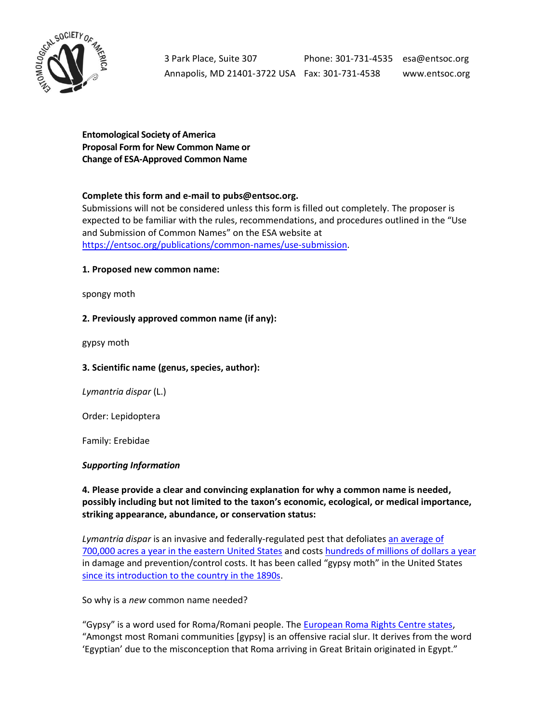

3 Park Place, Suite 307 Phone: 301-731-4535 esa@entsoc.org Annapolis, MD 21401-3722 USA Fax: 301-731-4538 www.entsoc.org

**Entomological Society of America Proposal Form for New Common Name or Change of ESA-Approved Common Name**

### **Complete this form and e-mail to pubs@entsoc.org.**

Submissions will not be considered unless this form is filled out completely. The proposer is expected to be familiar with the rules, recommendations, and procedures outlined in the "Use and Submission of Common Names" on the ESA website at [https://entsoc.org/publications/common-names/use-submission.](https://entsoc.org/publications/common-names/use-submission)

#### **1. Proposed new common name:**

spongy moth

### **2. Previously approved common name (if any):**

gypsy moth

### **3. Scientific name (genus, species, author):**

*Lymantria dispar* (L.)

Order: Lepidoptera

Family: Erebidae

### *Supporting Information*

**4. Please provide a clear and convincing explanation for why a common name is needed, possibly including but not limited to the taxon's economic, ecological, or medical importance, striking appearance, abundance, or conservation status:**

*Lymantria dispar* is an invasive and federally-regulated pest that defoliate[s an average of](https://www.aphis.usda.gov/publications/plant_health/content/printable_version/fs_phasiangm.pdf)  [700,000 acres a year in the eastern United States](https://www.aphis.usda.gov/publications/plant_health/content/printable_version/fs_phasiangm.pdf) and costs [hundreds of millions of dollars a year](https://journals.plos.org/plosone/article?id=10.1371/journal.pone.0024587#s3) in damage and prevention/control costs. It has been called "gypsy moth" in the United States [since its introduction to the country in the 1890s.](https://www.google.com/books/edition/The_Gypsy_Moth/d19JAAAAMAAJ?hl=en&gbpv=1)

So why is a *new* common name needed?

"Gypsy" is a word used for Roma/Romani people. Th[e European Roma Rights Centre states,](http://www.errc.org/what-we-do/advocacy-research/terminology) "Amongst most Romani communities [gypsy] is an offensive racial slur. It derives from the word 'Egyptian' due to the misconception that Roma arriving in Great Britain originated in Egypt."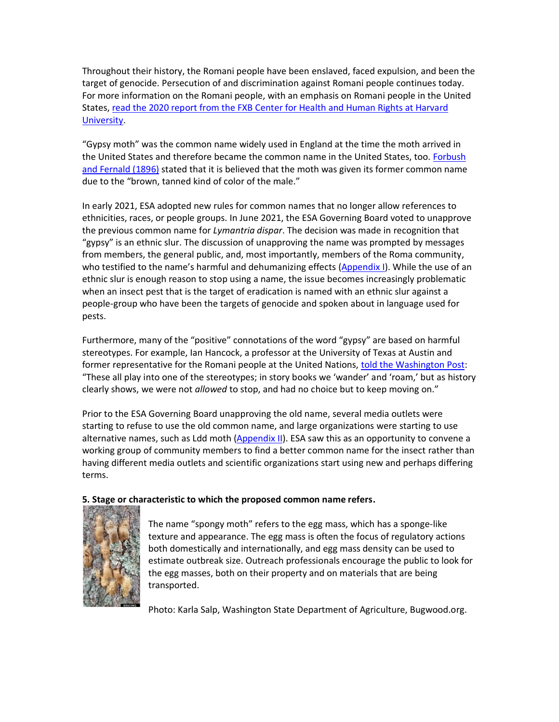Throughout their history, the Romani people have been enslaved, faced expulsion, and been the target of genocide. Persecution of and discrimination against Romani people continues today. For more information on the Romani people, with an emphasis on Romani people in the United States[, read the 2020 report from the FXB Center for Health and Human Rights at Harvard](https://cdn1.sph.harvard.edu/wp-content/uploads/sites/2464/2020/11/Romani-realities-report-final-11.30.2020.pdf)  [University.](https://cdn1.sph.harvard.edu/wp-content/uploads/sites/2464/2020/11/Romani-realities-report-final-11.30.2020.pdf)

"Gypsy moth" was the common name widely used in England at the time the moth arrived in the United States and therefore became the common name in the United States, too. [Forbush](https://www.google.com/books/edition/The_Gypsy_Moth/d19JAAAAMAAJ?hl=en&gbpv=1)  [and Fernald \(1896\)](https://www.google.com/books/edition/The_Gypsy_Moth/d19JAAAAMAAJ?hl=en&gbpv=1) stated that it is believed that the moth was given its former common name due to the "brown, tanned kind of color of the male."

In early 2021, ESA adopted new rules for common names that no longer allow references to ethnicities, races, or people groups. In June 2021, the ESA Governing Board voted to unapprove the previous common name for *Lymantria dispar*. The decision was made in recognition that "gypsy" is an ethnic slur. The discussion of unapproving the name was prompted by messages from members, the general public, and, most importantly, members of the Roma community, who testified to the name's harmful and dehumanizing effects [\(Appendix I\)](#page-6-0). While the use of an ethnic slur is enough reason to stop using a name, the issue becomes increasingly problematic when an insect pest that is the target of eradication is named with an ethnic slur against a people-group who have been the targets of genocide and spoken about in language used for pests.

Furthermore, many of the "positive" connotations of the word "gypsy" are based on harmful stereotypes. For example, Ian Hancock, a professor at the University of Texas at Austin and former representative for the Romani people at the United Nations, [told the Washington Post:](https://www.washingtonpost.com/science/2021/07/11/entomologists-renaming-gypsy-moth-offensive/) "These all play into one of the stereotypes; in story books we 'wander' and 'roam,' but as history clearly shows, we were not *allowed* to stop, and had no choice but to keep moving on."

Prior to the ESA Governing Board unapproving the old name, several media outlets were starting to refuse to use the old common name, and large organizations were starting to use alternative names, such as Ldd moth  $(Appendix II)$ . ESA saw this as an opportunity to convene a working group of community members to find a better common name for the insect rather than having different media outlets and scientific organizations start using new and perhaps differing terms.

### **5. Stage or characteristic to which the proposed common name refers.**



The name "spongy moth" refers to the egg mass, which has a sponge-like texture and appearance. The egg mass is often the focus of regulatory actions both domestically and internationally, and egg mass density can be used to estimate outbreak size. Outreach professionals encourage the public to look for the egg masses, both on their property and on materials that are being transported.

Photo: Karla Salp, Washington State Department of Agriculture, Bugwood.org.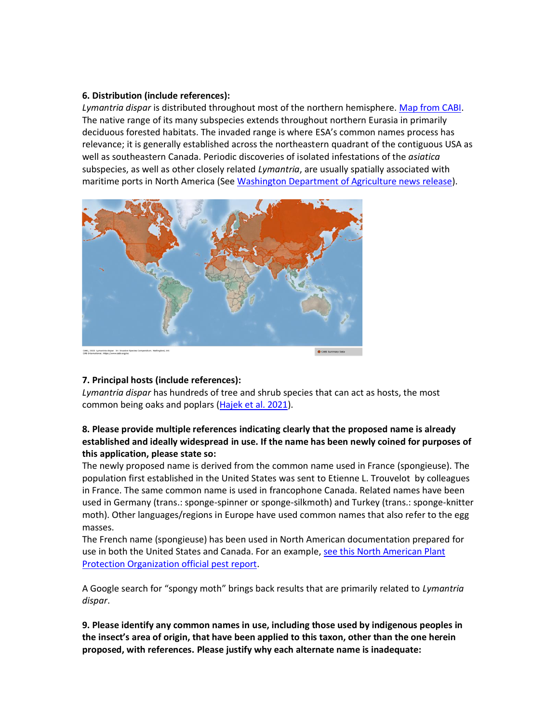### **6. Distribution (include references):**

*Lymantria dispar* is distributed throughout most of the northern hemisphere. [Map from CABI.](https://www.cabi.org/isc/datasheet/31807#toDistributionMaps) The native range of its many subspecies extends throughout northern Eurasia in primarily deciduous forested habitats. The invaded range is where ESA's common names process has relevance; it is generally established across the northeastern quadrant of the contiguous USA as well as southeastern Canada. Periodic discoveries of isolated infestations of the *asiatica*  subspecies, as well as other closely related *Lymantria*, are usually spatially associated with maritime ports in North America (See [Washington Department of Agriculture news release\)](https://agr.wa.gov/departments/insects-pests-and-weeds/insects/gypsy-moth/gypsy-moth-101/asian-gypsy-moth).



### **7. Principal hosts (include references):**

*Lymantria dispar* has hundreds of tree and shrub species that can act as hosts, the most common being oaks and poplars [\(Hajek et al. 2021\)](https://doi.org/10.1093/ee/nvab068).

## **8. Please provide multiple references indicating clearly that the proposed name is already established and ideally widespread in use. If the name has been newly coined for purposes of this application, please state so:**

The newly proposed name is derived from the common name used in France (spongieuse). The population first established in the United States was sent to Etienne L. Trouvelot by colleagues in France. The same common name is used in francophone Canada. Related names have been used in Germany (trans.: sponge-spinner or sponge-silkmoth) and Turkey (trans.: sponge-knitter moth). Other languages/regions in Europe have used common names that also refer to the egg masses.

The French name (spongieuse) has been used in North American documentation prepared for use in both the United States and Canada. For an example, see this North American Plant [Protection Organization official pest report.](https://www.pestalerts.org/official-pest-report/gypsy-moth-lymantria-dispar-update-regulated-areas-within-canada-spongieuse)

A Google search for "spongy moth" brings back results that are primarily related to *Lymantria dispar*.

**9. Please identify any common names in use, including those used by indigenous peoples in the insect's area of origin, that have been applied to this taxon, other than the one herein proposed, with references. Please justify why each alternate name is inadequate:**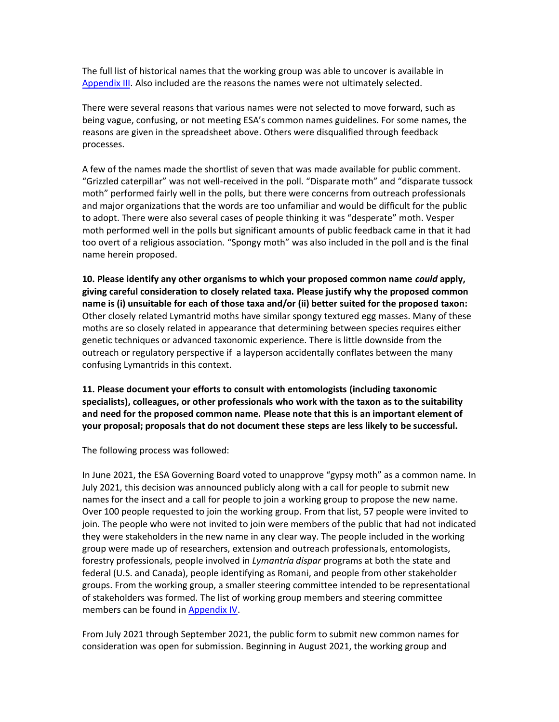The full list of historical names that the working group was able to uncover is available in [Appendix III.](#page-8-0) Also included are the reasons the names were not ultimately selected.

There were several reasons that various names were not selected to move forward, such as being vague, confusing, or not meeting ESA's common names guidelines. For some names, the reasons are given in the spreadsheet above. Others were disqualified through feedback processes.

A few of the names made the shortlist of seven that was made available for public comment. "Grizzled caterpillar" was not well-received in the poll. "Disparate moth" and "disparate tussock moth" performed fairly well in the polls, but there were concerns from outreach professionals and major organizations that the words are too unfamiliar and would be difficult for the public to adopt. There were also several cases of people thinking it was "desperate" moth. Vesper moth performed well in the polls but significant amounts of public feedback came in that it had too overt of a religious association. "Spongy moth" was also included in the poll and is the final name herein proposed.

**10. Please identify any other organisms to which your proposed common name** *could* **apply, giving careful consideration to closely related taxa. Please justify why the proposed common name is (i) unsuitable for each of those taxa and/or (ii) better suited for the proposed taxon:** Other closely related Lymantrid moths have similar spongy textured egg masses. Many of these moths are so closely related in appearance that determining between species requires either genetic techniques or advanced taxonomic experience. There is little downside from the outreach or regulatory perspective if a layperson accidentally conflates between the many confusing Lymantrids in this context.

**11. Please document your efforts to consult with entomologists (including taxonomic specialists), colleagues, or other professionals who work with the taxon as to the suitability and need for the proposed common name. Please note that this is an important element of your proposal; proposals that do not document these steps are less likely to be successful.**

The following process was followed:

In June 2021, the ESA Governing Board voted to unapprove "gypsy moth" as a common name. In July 2021, this decision was announced publicly along with a call for people to submit new names for the insect and a call for people to join a working group to propose the new name. Over 100 people requested to join the working group. From that list, 57 people were invited to join. The people who were not invited to join were members of the public that had not indicated they were stakeholders in the new name in any clear way. The people included in the working group were made up of researchers, extension and outreach professionals, entomologists, forestry professionals, people involved in *Lymantria dispar* programs at both the state and federal (U.S. and Canada), people identifying as Romani, and people from other stakeholder groups. From the working group, a smaller steering committee intended to be representational of stakeholders was formed. The list of working group members and steering committee members can be found i[n Appendix IV.](#page-15-0)

From July 2021 through September 2021, the public form to submit new common names for consideration was open for submission. Beginning in August 2021, the working group and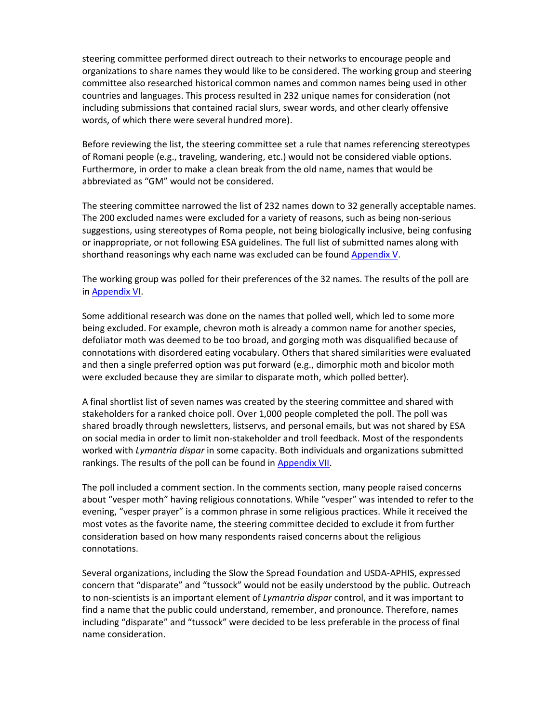steering committee performed direct outreach to their networks to encourage people and organizations to share names they would like to be considered. The working group and steering committee also researched historical common names and common names being used in other countries and languages. This process resulted in 232 unique names for consideration (not including submissions that contained racial slurs, swear words, and other clearly offensive words, of which there were several hundred more).

Before reviewing the list, the steering committee set a rule that names referencing stereotypes of Romani people (e.g., traveling, wandering, etc.) would not be considered viable options. Furthermore, in order to make a clean break from the old name, names that would be abbreviated as "GM" would not be considered.

The steering committee narrowed the list of 232 names down to 32 generally acceptable names. The 200 excluded names were excluded for a variety of reasons, such as being non-serious suggestions, using stereotypes of Roma people, not being biologically inclusive, being confusing or inappropriate, or not following ESA guidelines. The full list of submitted names along with shorthand reasonings why each name was excluded can be found [Appendix V.](#page-16-0) 

The working group was polled for their preferences of the 32 names. The results of the poll are in [Appendix VI.](#page-27-0)

Some additional research was done on the names that polled well, which led to some more being excluded. For example, chevron moth is already a common name for another species, defoliator moth was deemed to be too broad, and gorging moth was disqualified because of connotations with disordered eating vocabulary. Others that shared similarities were evaluated and then a single preferred option was put forward (e.g., dimorphic moth and bicolor moth were excluded because they are similar to disparate moth, which polled better).

A final shortlist list of seven names was created by the steering committee and shared with stakeholders for a ranked choice poll. Over 1,000 people completed the poll. The poll was shared broadly through newsletters, listservs, and personal emails, but was not shared by ESA on social media in order to limit non-stakeholder and troll feedback. Most of the respondents worked with *Lymantria dispar* in some capacity. Both individuals and organizations submitted rankings. The results of the poll can be found in [Appendix VII.](#page-28-0)

The poll included a comment section. In the comments section, many people raised concerns about "vesper moth" having religious connotations. While "vesper" was intended to refer to the evening, "vesper prayer" is a common phrase in some religious practices. While it received the most votes as the favorite name, the steering committee decided to exclude it from further consideration based on how many respondents raised concerns about the religious connotations.

Several organizations, including the Slow the Spread Foundation and USDA-APHIS, expressed concern that "disparate" and "tussock" would not be easily understood by the public. Outreach to non-scientists is an important element of *Lymantria dispar* control, and it was important to find a name that the public could understand, remember, and pronounce. Therefore, names including "disparate" and "tussock" were decided to be less preferable in the process of final name consideration.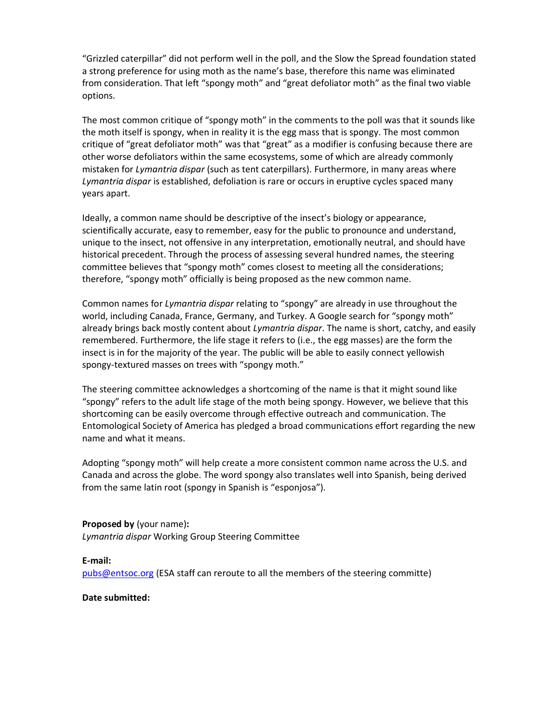"Grizzled caterpillar" did not perform well in the poll, and the Slow the Spread foundation stated a strong preference for using moth as the name's base, therefore this name was eliminated from consideration. That left "spongy moth" and "great defoliator moth" as the final two viable options.

The most common critique of "spongy moth" in the comments to the poll was that it sounds like the moth itself is spongy, when in reality it is the egg mass that is spongy. The most common critique of "great defoliator moth" was that "great" as a modifier is confusing because there are other worse defoliators within the same ecosystems, some of which are already commonly mistaken for *Lymantria dispar* (such as tent caterpillars). Furthermore, in many areas where *Lymantria dispar* is established, defoliation is rare or occurs in eruptive cycles spaced many years apart.

Ideally, a common name should be descriptive of the insect's biology or appearance, scientifically accurate, easy to remember, easy for the public to pronounce and understand, unique to the insect, not offensive in any interpretation, emotionally neutral, and should have historical precedent. Through the process of assessing several hundred names, the steering committee believes that "spongy moth" comes closest to meeting all the considerations; therefore, "spongy moth" officially is being proposed as the new common name.

Common names for *Lymantria dispar* relating to "spongy" are already in use throughout the world, including Canada, France, Germany, and Turkey. A Google search for "spongy moth" already brings back mostly content about *Lymantria dispar*. The name is short, catchy, and easily remembered. Furthermore, the life stage it refers to (i.e., the egg masses) are the form the insect is in for the majority of the year. The public will be able to easily connect yellowish spongy-textured masses on trees with "spongy moth."

The steering committee acknowledges a shortcoming of the name is that it might sound like "spongy" refers to the adult life stage of the moth being spongy. However, we believe that this shortcoming can be easily overcome through effective outreach and communication. The Entomological Society of America has pledged a broad communications effort regarding the new name and what it means.

Adopting "spongy moth" will help create a more consistent common name across the U.S. and Canada and across the globe. The word spongy also translates well into Spanish, being derived from the same latin root (spongy in Spanish is "esponjosa").

**Proposed by** (your name)**:**  *Lymantria dispar* Working Group Steering Committee

**E-mail:** [pubs@entsoc.org](mailto:pubs@entsoc.org) (ESA staff can reroute to all the members of the steering committe)

**Date submitted:**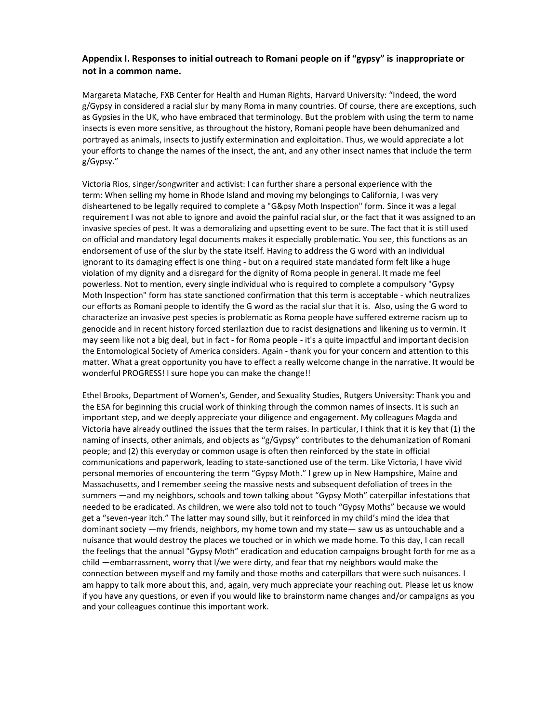#### <span id="page-6-0"></span>**Appendix I. Responses to initial outreach to Romani people on if "gypsy" is inappropriate or not in a common name.**

Margareta Matache, FXB Center for Health and Human Rights, Harvard University: "Indeed, the word g/Gypsy in considered a racial slur by many Roma in many countries. Of course, there are exceptions, such as Gypsies in the UK, who have embraced that terminology. But the problem with using the term to name insects is even more sensitive, as throughout the history, Romani people have been dehumanized and portrayed as animals, insects to justify extermination and exploitation. Thus, we would appreciate a lot your efforts to change the names of the insect, the ant, and any other insect names that include the term g/Gypsy."

Victoria Rios, singer/songwriter and activist: I can further share a personal experience with the term: When selling my home in Rhode Island and moving my belongings to California, I was very disheartened to be legally required to complete a "G&psy Moth Inspection" form. Since it was a legal requirement I was not able to ignore and avoid the painful racial slur, or the fact that it was assigned to an invasive species of pest. It was a demoralizing and upsetting event to be sure. The fact that it is still used on official and mandatory legal documents makes it especially problematic. You see, this functions as an endorsement of use of the slur by the state itself. Having to address the G word with an individual ignorant to its damaging effect is one thing - but on a required state mandated form felt like a huge violation of my dignity and a disregard for the dignity of Roma people in general. It made me feel powerless. Not to mention, every single individual who is required to complete a compulsory "Gypsy Moth Inspection" form has state sanctioned confirmation that this term is acceptable - which neutralizes our efforts as Romani people to identify the G word as the racial slur that it is. Also, using the G word to characterize an invasive pest species is problematic as Roma people have suffered extreme racism up to genocide and in recent history forced sterilaztion due to racist designations and likening us to vermin. It may seem like not a big deal, but in fact - for Roma people - it's a quite impactful and important decision the Entomological Society of America considers. Again - thank you for your concern and attention to this matter. What a great opportunity you have to effect a really welcome change in the narrative. It would be wonderful PROGRESS! I sure hope you can make the change!!

Ethel Brooks, Department of Women's, Gender, and Sexuality Studies, Rutgers University: Thank you and the ESA for beginning this crucial work of thinking through the common names of insects. It is such an important step, and we deeply appreciate your diligence and engagement. My colleagues Magda and Victoria have already outlined the issues that the term raises. In particular, I think that it is key that (1) the naming of insects, other animals, and objects as "g/Gypsy" contributes to the dehumanization of Romani people; and (2) this everyday or common usage is often then reinforced by the state in official communications and paperwork, leading to state-sanctioned use of the term. Like Victoria, I have vivid personal memories of encountering the term "Gypsy Moth." I grew up in New Hampshire, Maine and Massachusetts, and I remember seeing the massive nests and subsequent defoliation of trees in the summers —and my neighbors, schools and town talking about "Gypsy Moth" caterpillar infestations that needed to be eradicated. As children, we were also told not to touch "Gypsy Moths" because we would get a "seven-year itch." The latter may sound silly, but it reinforced in my child's mind the idea that dominant society —my friends, neighbors, my home town and my state— saw us as untouchable and a nuisance that would destroy the places we touched or in which we made home. To this day, I can recall the feelings that the annual "Gypsy Moth" eradication and education campaigns brought forth for me as a child —embarrassment, worry that I/we were dirty, and fear that my neighbors would make the connection between myself and my family and those moths and caterpillars that were such nuisances. I am happy to talk more about this, and, again, very much appreciate your reaching out. Please let us know if you have any questions, or even if you would like to brainstorm name changes and/or campaigns as you and your colleagues continue this important work.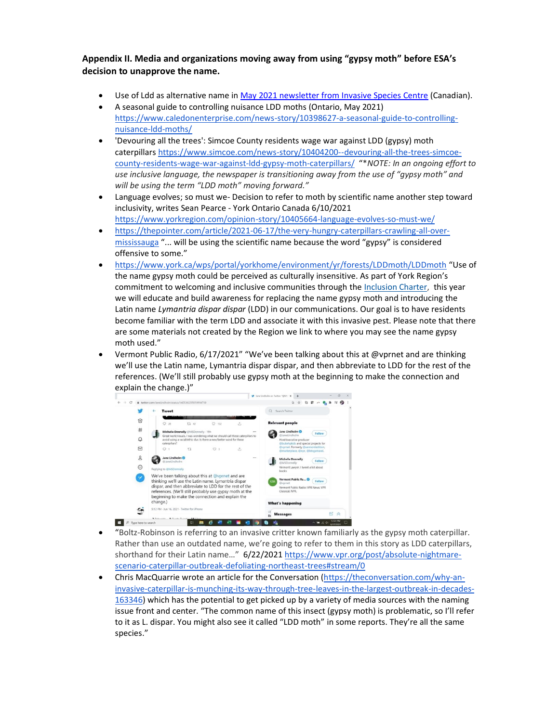<span id="page-7-0"></span>**Appendix II. Media and organizations moving away from using "gypsy moth" before ESA's decision to unapprove the name.**

- Use of Ldd as alternative name in [May 2021 newsletter from Invasive Species Centre](https://entsoc-my.sharepoint.com/:b:/g/personal/jlancette_entsoc_org/EdTSEhFkHpRNn8Pwbn4o4tAB8ETC_hWYVBEQOZITo_EOiQ?e=oU5hQW) (Canadian).
- A seasonal guide to controlling nuisance LDD moths (Ontario, May 2021) [https://www.caledonenterprise.com/news-story/10398627-a-seasonal-guide-to-controlling](https://protect-us.mimecast.com/s/H6WWCADXrnsYkw4oUGUkMh?domain=caledonenterprise.com)[nuisance-ldd-moths/](https://protect-us.mimecast.com/s/H6WWCADXrnsYkw4oUGUkMh?domain=caledonenterprise.com)
- 'Devouring all the trees': Simcoe County residents wage war against LDD (gypsy) moth caterpillars [https://www.simcoe.com/news-story/10404200--devouring-all-the-trees-simcoe](https://www.simcoe.com/news-story/10404200--devouring-all-the-trees-simcoe-county-residents-wage-war-against-ldd-gypsy-moth-caterpillars/)[county-residents-wage-war-against-ldd-gypsy-moth-caterpillars/](https://www.simcoe.com/news-story/10404200--devouring-all-the-trees-simcoe-county-residents-wage-war-against-ldd-gypsy-moth-caterpillars/) "\**NOTE: In an ongoing effort to use inclusive language, the newspaper is transitioning away from the use of "gypsy moth" and will be using the term "LDD moth" moving forward."*
- Language evolves; so must we- Decision to refer to moth by scientific name another step toward inclusivity, writes Sean Pearce - York Ontario Canada 6/10/2021 <https://www.yorkregion.com/opinion-story/10405664-language-evolves-so-must-we/>
- [https://thepointer.com/article/2021-06-17/the-very-hungry-caterpillars-crawling-all-over](https://thepointer.com/article/2021-06-17/the-very-hungry-caterpillars-crawling-all-over-mississauga)[mississauga](https://thepointer.com/article/2021-06-17/the-very-hungry-caterpillars-crawling-all-over-mississauga) "... will be using the scientific name because the word "gypsy" is considered offensive to some."
- <https://www.york.ca/wps/portal/yorkhome/environment/yr/forests/LDDmoth/LDDmoth> "Use of the name gypsy moth could be perceived as culturally insensitive. As part of York Region's commitment to welcoming and inclusive communities through the [Inclusion Charter,](https://www.york.ca/wps/portal/yorkhome/yorkregion/yr/accessibility/diversityandinclusionsa/diversityandinclusion/) this year we will educate and build awareness for replacing the name gypsy moth and introducing the Latin name *Lymantria dispar dispar* (LDD) in our communications. Our goal is to have residents become familiar with the term LDD and associate it with this invasive pest. Please note that there are some materials not created by the Region we link to where you may see the name gypsy moth used."
- Vermont Public Radio, 6/17/2021" "We've been talking about this at @vprnet and are thinking we'll use the Latin name, Lymantria dispar dispar, and then abbreviate to LDD for the rest of the references. (We'll still probably use gypsy moth at the beginning to make the connection and explain the change.)"



- "Boltz-Robinson is referring to an invasive critter known familiarly as the gypsy moth caterpillar. Rather than use an outdated name, we're going to refer to them in this story as LDD caterpillars, shorthand for their Latin name…" 6/22/2021 [https://www.vpr.org/post/absolute-nightmare](https://www.vpr.org/post/absolute-nightmare-scenario-caterpillar-outbreak-defoliating-northeast-trees#stream/0)[scenario-caterpillar-outbreak-defoliating-northeast-trees#stream/0](https://www.vpr.org/post/absolute-nightmare-scenario-caterpillar-outbreak-defoliating-northeast-trees#stream/0)
- Chris MacQuarrie wrote an article for the Conversation [\(https://theconversation.com/why-an](https://protect-us.mimecast.com/s/h5izCBBXvgI1nVRzczk-b0?domain=theconversation.com)[invasive-caterpillar-is-munching-its-way-through-tree-leaves-in-the-largest-outbreak-in-decades-](https://protect-us.mimecast.com/s/h5izCBBXvgI1nVRzczk-b0?domain=theconversation.com)[163346\)](https://protect-us.mimecast.com/s/h5izCBBXvgI1nVRzczk-b0?domain=theconversation.com) which has the potential to get picked up by a variety of media sources with the naming issue front and center. "The common name of this insect (gypsy moth) is problematic, so I'll refer to it as L. dispar. You might also see it called "LDD moth" in some reports. They're all the same species."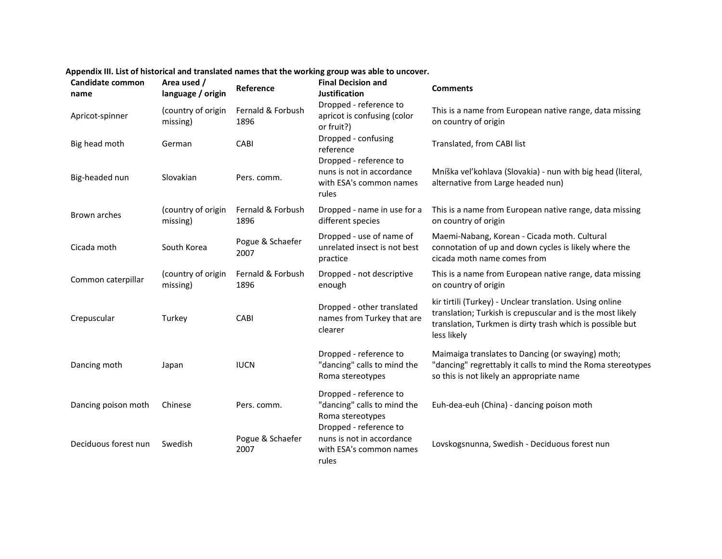<span id="page-8-0"></span>

| Candidate common<br>name | Area used /<br>language / origin | Reference                 | <b>Final Decision and</b><br><b>Justification</b>                                       | <b>Comments</b>                                                                                                                                                                                    |
|--------------------------|----------------------------------|---------------------------|-----------------------------------------------------------------------------------------|----------------------------------------------------------------------------------------------------------------------------------------------------------------------------------------------------|
| Apricot-spinner          | (country of origin<br>missing)   | Fernald & Forbush<br>1896 | Dropped - reference to<br>apricot is confusing (color<br>or fruit?)                     | This is a name from European native range, data missing<br>on country of origin                                                                                                                    |
| Big head moth            | German                           | CABI                      | Dropped - confusing<br>reference                                                        | Translated, from CABI list                                                                                                                                                                         |
| Big-headed nun           | Slovakian                        | Pers. comm.               | Dropped - reference to<br>nuns is not in accordance<br>with ESA's common names<br>rules | Mníška veľkohlava (Slovakia) - nun with big head (literal,<br>alternative from Large headed nun)                                                                                                   |
| Brown arches             | (country of origin<br>missing)   | Fernald & Forbush<br>1896 | Dropped - name in use for a<br>different species                                        | This is a name from European native range, data missing<br>on country of origin                                                                                                                    |
| Cicada moth              | South Korea                      | Pogue & Schaefer<br>2007  | Dropped - use of name of<br>unrelated insect is not best<br>practice                    | Maemi-Nabang, Korean - Cicada moth. Cultural<br>connotation of up and down cycles is likely where the<br>cicada moth name comes from                                                               |
| Common caterpillar       | (country of origin<br>missing)   | Fernald & Forbush<br>1896 | Dropped - not descriptive<br>enough                                                     | This is a name from European native range, data missing<br>on country of origin                                                                                                                    |
| Crepuscular              | Turkey                           | CABI                      | Dropped - other translated<br>names from Turkey that are<br>clearer                     | kir tirtili (Turkey) - Unclear translation. Using online<br>translation; Turkish is crepuscular and is the most likely<br>translation, Turkmen is dirty trash which is possible but<br>less likely |
| Dancing moth             | Japan                            | <b>IUCN</b>               | Dropped - reference to<br>"dancing" calls to mind the<br>Roma stereotypes               | Maimaiga translates to Dancing (or swaying) moth;<br>"dancing" regrettably it calls to mind the Roma stereotypes<br>so this is not likely an appropriate name                                      |
| Dancing poison moth      | Chinese                          | Pers. comm.               | Dropped - reference to<br>"dancing" calls to mind the<br>Roma stereotypes               | Euh-dea-euh (China) - dancing poison moth                                                                                                                                                          |
| Deciduous forest nun     | Swedish                          | Pogue & Schaefer<br>2007  | Dropped - reference to<br>nuns is not in accordance<br>with ESA's common names<br>rules | Lovskogsnunna, Swedish - Deciduous forest nun                                                                                                                                                      |

# **Appendix III. List of historical and translated names that the working group was able to uncover.**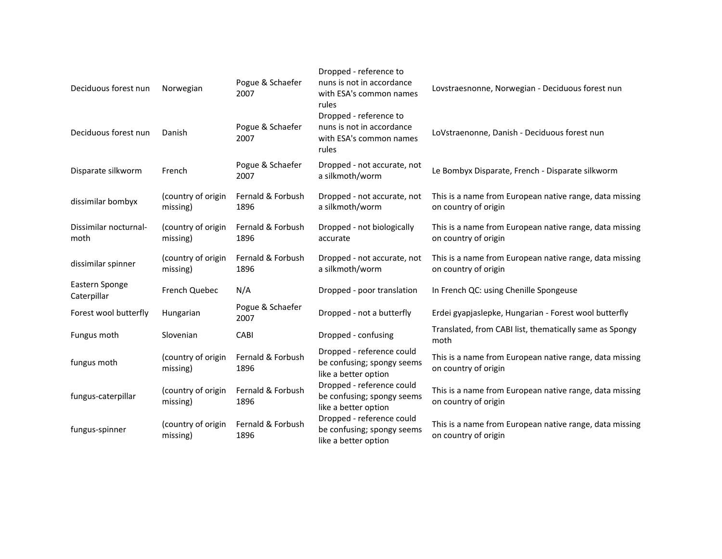| Deciduous forest nun          | Norwegian                      | Pogue & Schaefer<br>2007  | Dropped - reference to<br>nuns is not in accordance<br>with ESA's common names<br>rules | Lovstraesnonne, Norwegian - Deciduous forest nun                                |
|-------------------------------|--------------------------------|---------------------------|-----------------------------------------------------------------------------------------|---------------------------------------------------------------------------------|
| Deciduous forest nun          | Danish                         | Pogue & Schaefer<br>2007  | Dropped - reference to<br>nuns is not in accordance<br>with ESA's common names<br>rules | LoVstraenonne, Danish - Deciduous forest nun                                    |
| Disparate silkworm            | French                         | Pogue & Schaefer<br>2007  | Dropped - not accurate, not<br>a silkmoth/worm                                          | Le Bombyx Disparate, French - Disparate silkworm                                |
| dissimilar bombyx             | (country of origin<br>missing) | Fernald & Forbush<br>1896 | Dropped - not accurate, not<br>a silkmoth/worm                                          | This is a name from European native range, data missing<br>on country of origin |
| Dissimilar nocturnal-<br>moth | (country of origin<br>missing) | Fernald & Forbush<br>1896 | Dropped - not biologically<br>accurate                                                  | This is a name from European native range, data missing<br>on country of origin |
| dissimilar spinner            | (country of origin<br>missing) | Fernald & Forbush<br>1896 | Dropped - not accurate, not<br>a silkmoth/worm                                          | This is a name from European native range, data missing<br>on country of origin |
| Eastern Sponge<br>Caterpillar | French Quebec                  | N/A                       | Dropped - poor translation                                                              | In French QC: using Chenille Spongeuse                                          |
| Forest wool butterfly         | Hungarian                      | Pogue & Schaefer<br>2007  | Dropped - not a butterfly                                                               | Erdei gyapjaslepke, Hungarian - Forest wool butterfly                           |
| Fungus moth                   | Slovenian                      | CABI                      | Dropped - confusing                                                                     | Translated, from CABI list, thematically same as Spongy<br>moth                 |
| fungus moth                   | (country of origin<br>missing) | Fernald & Forbush<br>1896 | Dropped - reference could<br>be confusing; spongy seems<br>like a better option         | This is a name from European native range, data missing<br>on country of origin |
| fungus-caterpillar            | (country of origin<br>missing) | Fernald & Forbush<br>1896 | Dropped - reference could<br>be confusing; spongy seems<br>like a better option         | This is a name from European native range, data missing<br>on country of origin |
| fungus-spinner                | (country of origin<br>missing) | Fernald & Forbush<br>1896 | Dropped - reference could<br>be confusing; spongy seems<br>like a better option         | This is a name from European native range, data missing<br>on country of origin |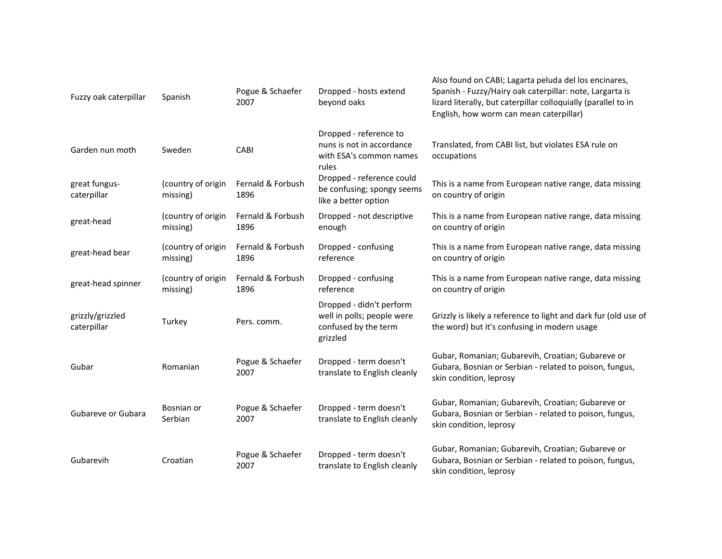| Fuzzy oak caterpillar           | Spanish                        | Pogue & Schaefer<br>2007  | Dropped - hosts extend<br>beyond oaks                                                      | Also found on CABI; Lagarta peluda del los encinares,<br>Spanish - Fuzzy/Hairy oak caterpillar: note, Largarta is<br>lizard literally, but caterpillar colloquially (parallel to in<br>English, how worm can mean caterpillar) |
|---------------------------------|--------------------------------|---------------------------|--------------------------------------------------------------------------------------------|--------------------------------------------------------------------------------------------------------------------------------------------------------------------------------------------------------------------------------|
| Garden nun moth                 | Sweden                         | CABI                      | Dropped - reference to<br>nuns is not in accordance<br>with ESA's common names<br>rules    | Translated, from CABI list, but violates ESA rule on<br>occupations                                                                                                                                                            |
| great fungus-<br>caterpillar    | (country of origin<br>missing) | Fernald & Forbush<br>1896 | Dropped - reference could<br>be confusing; spongy seems<br>like a better option            | This is a name from European native range, data missing<br>on country of origin                                                                                                                                                |
| great-head                      | (country of origin<br>missing) | Fernald & Forbush<br>1896 | Dropped - not descriptive<br>enough                                                        | This is a name from European native range, data missing<br>on country of origin                                                                                                                                                |
| great-head bear                 | (country of origin<br>missing) | Fernald & Forbush<br>1896 | Dropped - confusing<br>reference                                                           | This is a name from European native range, data missing<br>on country of origin                                                                                                                                                |
| great-head spinner              | (country of origin<br>missing) | Fernald & Forbush<br>1896 | Dropped - confusing<br>reference                                                           | This is a name from European native range, data missing<br>on country of origin                                                                                                                                                |
| grizzly/grizzled<br>caterpillar | Turkey                         | Pers. comm.               | Dropped - didn't perform<br>well in polls; people were<br>confused by the term<br>grizzled | Grizzly is likely a reference to light and dark fur (old use of<br>the word) but it's confusing in modern usage                                                                                                                |
| Gubar                           | Romanian                       | Pogue & Schaefer<br>2007  | Dropped - term doesn't<br>translate to English cleanly                                     | Gubar, Romanian; Gubarevih, Croatian; Gubareve or<br>Gubara, Bosnian or Serbian - related to poison, fungus,<br>skin condition, leprosy                                                                                        |
| Gubareve or Gubara              | Bosnian or<br>Serbian          | Pogue & Schaefer<br>2007  | Dropped - term doesn't<br>translate to English cleanly                                     | Gubar, Romanian; Gubarevih, Croatian; Gubareve or<br>Gubara, Bosnian or Serbian - related to poison, fungus,<br>skin condition, leprosy                                                                                        |
| Gubarevih                       | Croatian                       | Pogue & Schaefer<br>2007  | Dropped - term doesn't<br>translate to English cleanly                                     | Gubar, Romanian; Gubarevih, Croatian; Gubareve or<br>Gubara, Bosnian or Serbian - related to poison, fungus,<br>skin condition, leprosy                                                                                        |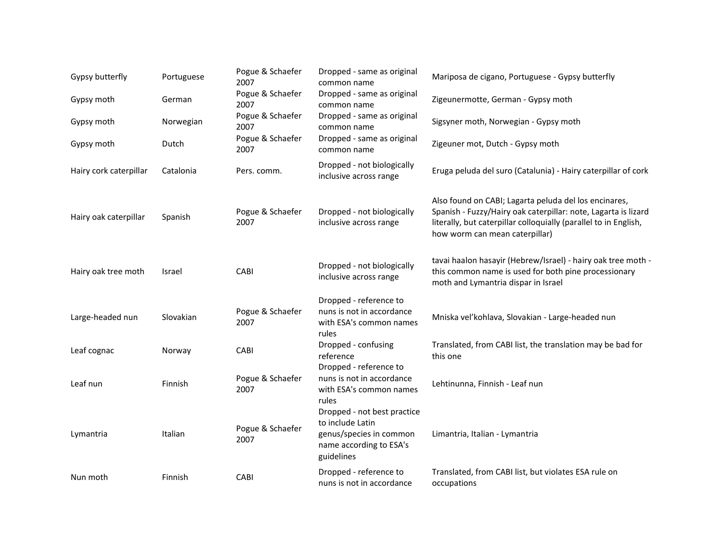| Gypsy butterfly        | Portuguese | Pogue & Schaefer<br>2007 | Dropped - same as original<br>common name                                                                           | Mariposa de cigano, Portuguese - Gypsy butterfly                                                                                                                                                                              |
|------------------------|------------|--------------------------|---------------------------------------------------------------------------------------------------------------------|-------------------------------------------------------------------------------------------------------------------------------------------------------------------------------------------------------------------------------|
| Gypsy moth             | German     | Pogue & Schaefer<br>2007 | Dropped - same as original<br>common name                                                                           | Zigeunermotte, German - Gypsy moth                                                                                                                                                                                            |
| Gypsy moth             | Norwegian  | Pogue & Schaefer<br>2007 | Dropped - same as original<br>common name                                                                           | Sigsyner moth, Norwegian - Gypsy moth                                                                                                                                                                                         |
| Gypsy moth             | Dutch      | Pogue & Schaefer<br>2007 | Dropped - same as original<br>common name                                                                           | Zigeuner mot, Dutch - Gypsy moth                                                                                                                                                                                              |
| Hairy cork caterpillar | Catalonia  | Pers. comm.              | Dropped - not biologically<br>inclusive across range                                                                | Eruga peluda del suro (Catalunia) - Hairy caterpillar of cork                                                                                                                                                                 |
| Hairy oak caterpillar  | Spanish    | Pogue & Schaefer<br>2007 | Dropped - not biologically<br>inclusive across range                                                                | Also found on CABI; Lagarta peluda del los encinares,<br>Spanish - Fuzzy/Hairy oak caterpillar: note, Lagarta is lizard<br>literally, but caterpillar colloquially (parallel to in English,<br>how worm can mean caterpillar) |
| Hairy oak tree moth    | Israel     | CABI                     | Dropped - not biologically<br>inclusive across range                                                                | tavai haalon hasayir (Hebrew/Israel) - hairy oak tree moth -<br>this common name is used for both pine processionary<br>moth and Lymantria dispar in Israel                                                                   |
| Large-headed nun       | Slovakian  | Pogue & Schaefer<br>2007 | Dropped - reference to<br>nuns is not in accordance<br>with ESA's common names<br>rules                             | Mniska vel'kohlava, Slovakian - Large-headed nun                                                                                                                                                                              |
| Leaf cognac            | Norway     | CABI                     | Dropped - confusing<br>reference                                                                                    | Translated, from CABI list, the translation may be bad for<br>this one                                                                                                                                                        |
| Leaf nun               | Finnish    | Pogue & Schaefer<br>2007 | Dropped - reference to<br>nuns is not in accordance<br>with ESA's common names<br>rules                             | Lehtinunna, Finnish - Leaf nun                                                                                                                                                                                                |
| Lymantria              | Italian    | Pogue & Schaefer<br>2007 | Dropped - not best practice<br>to include Latin<br>genus/species in common<br>name according to ESA's<br>guidelines | Limantria, Italian - Lymantria                                                                                                                                                                                                |
| Nun moth               | Finnish    | CABI                     | Dropped - reference to<br>nuns is not in accordance                                                                 | Translated, from CABI list, but violates ESA rule on<br>occupations                                                                                                                                                           |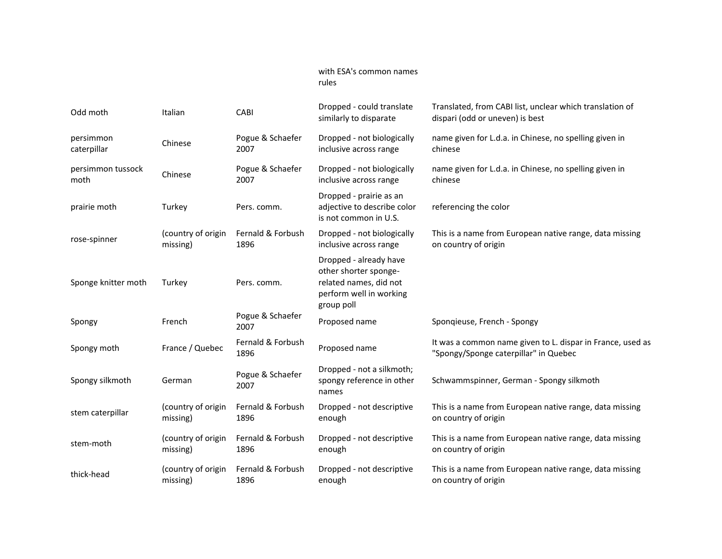#### with ESA's common names rules

| Odd moth            | Italian            | CABI                      | Dropped - could translate<br>similarly to disparate                                                                | Translated, from CABI list, unclear which translation of<br>dispari (odd or uneven) is best         |
|---------------------|--------------------|---------------------------|--------------------------------------------------------------------------------------------------------------------|-----------------------------------------------------------------------------------------------------|
| persimmon           | Chinese            | Pogue & Schaefer          | Dropped - not biologically                                                                                         | name given for L.d.a. in Chinese, no spelling given in                                              |
| caterpillar         |                    | 2007                      | inclusive across range                                                                                             | chinese                                                                                             |
| persimmon tussock   | Chinese            | Pogue & Schaefer          | Dropped - not biologically                                                                                         | name given for L.d.a. in Chinese, no spelling given in                                              |
| moth                |                    | 2007                      | inclusive across range                                                                                             | chinese                                                                                             |
| prairie moth        | Turkey             | Pers. comm.               | Dropped - prairie as an<br>adjective to describe color<br>is not common in U.S.                                    | referencing the color                                                                               |
| rose-spinner        | (country of origin | Fernald & Forbush         | Dropped - not biologically                                                                                         | This is a name from European native range, data missing                                             |
|                     | missing)           | 1896                      | inclusive across range                                                                                             | on country of origin                                                                                |
| Sponge knitter moth | Turkey             | Pers. comm.               | Dropped - already have<br>other shorter sponge-<br>related names, did not<br>perform well in working<br>group poll |                                                                                                     |
| Spongy              | French             | Pogue & Schaefer<br>2007  | Proposed name                                                                                                      | Spongieuse, French - Spongy                                                                         |
| Spongy moth         | France / Quebec    | Fernald & Forbush<br>1896 | Proposed name                                                                                                      | It was a common name given to L. dispar in France, used as<br>"Spongy/Sponge caterpillar" in Quebec |
| Spongy silkmoth     | German             | Pogue & Schaefer<br>2007  | Dropped - not a silkmoth;<br>spongy reference in other<br>names                                                    | Schwammspinner, German - Spongy silkmoth                                                            |
| stem caterpillar    | (country of origin | Fernald & Forbush         | Dropped - not descriptive                                                                                          | This is a name from European native range, data missing                                             |
|                     | missing)           | 1896                      | enough                                                                                                             | on country of origin                                                                                |
| stem-moth           | (country of origin | Fernald & Forbush         | Dropped - not descriptive                                                                                          | This is a name from European native range, data missing                                             |
|                     | missing)           | 1896                      | enough                                                                                                             | on country of origin                                                                                |
| thick-head          | (country of origin | Fernald & Forbush         | Dropped - not descriptive                                                                                          | This is a name from European native range, data missing                                             |
|                     | missing)           | 1896                      | enough                                                                                                             | on country of origin                                                                                |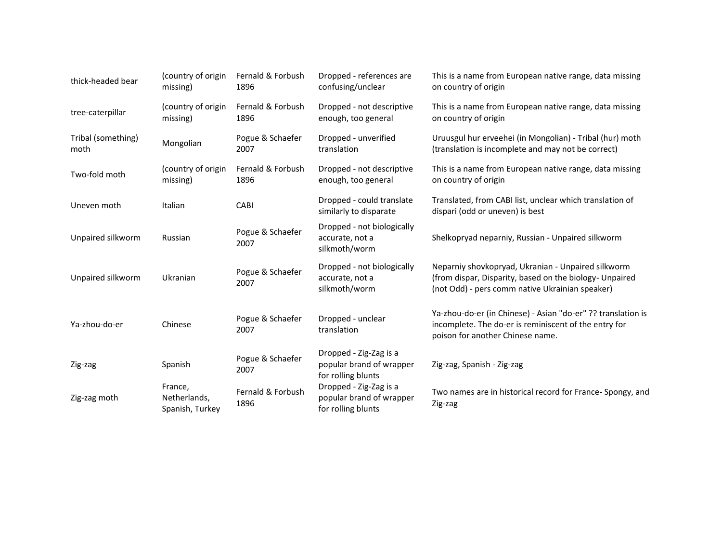| thick-headed bear          | (country of origin<br>missing)             | Fernald & Forbush<br>1896 | Dropped - references are<br>confusing/unclear                            | This is a name from European native range, data missing<br>on country of origin                                                                                  |
|----------------------------|--------------------------------------------|---------------------------|--------------------------------------------------------------------------|------------------------------------------------------------------------------------------------------------------------------------------------------------------|
| tree-caterpillar           | (country of origin<br>missing)             | Fernald & Forbush<br>1896 | Dropped - not descriptive<br>enough, too general                         | This is a name from European native range, data missing<br>on country of origin                                                                                  |
| Tribal (something)<br>moth | Mongolian                                  | Pogue & Schaefer<br>2007  | Dropped - unverified<br>translation                                      | Uruusgul hur erveehei (in Mongolian) - Tribal (hur) moth<br>(translation is incomplete and may not be correct)                                                   |
| Two-fold moth              | (country of origin<br>missing)             | Fernald & Forbush<br>1896 | Dropped - not descriptive<br>enough, too general                         | This is a name from European native range, data missing<br>on country of origin                                                                                  |
| Uneven moth                | Italian                                    | CABI                      | Dropped - could translate<br>similarly to disparate                      | Translated, from CABI list, unclear which translation of<br>dispari (odd or uneven) is best                                                                      |
| Unpaired silkworm          | Russian                                    | Pogue & Schaefer<br>2007  | Dropped - not biologically<br>accurate, not a<br>silkmoth/worm           | Shelkopryad neparniy, Russian - Unpaired silkworm                                                                                                                |
| Unpaired silkworm          | Ukranian                                   | Pogue & Schaefer<br>2007  | Dropped - not biologically<br>accurate, not a<br>silkmoth/worm           | Neparniy shovkopryad, Ukranian - Unpaired silkworm<br>(from dispar, Disparity, based on the biology- Unpaired<br>(not Odd) - pers comm native Ukrainian speaker) |
| Ya-zhou-do-er              | Chinese                                    | Pogue & Schaefer<br>2007  | Dropped - unclear<br>translation                                         | Ya-zhou-do-er (in Chinese) - Asian "do-er" ?? translation is<br>incomplete. The do-er is reminiscent of the entry for<br>poison for another Chinese name.        |
| Zig-zag                    | Spanish                                    | Pogue & Schaefer<br>2007  | Dropped - Zig-Zag is a<br>popular brand of wrapper<br>for rolling blunts | Zig-zag, Spanish - Zig-zag                                                                                                                                       |
| Zig-zag moth               | France,<br>Netherlands,<br>Spanish, Turkey | Fernald & Forbush<br>1896 | Dropped - Zig-Zag is a<br>popular brand of wrapper<br>for rolling blunts | Two names are in historical record for France-Spongy, and<br>Zig-zag                                                                                             |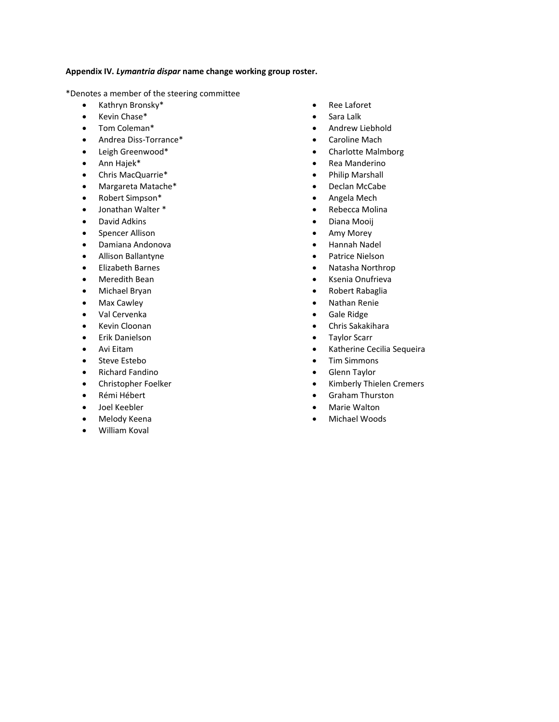#### <span id="page-15-0"></span>**Appendix IV.** *Lymantria dispar* **name change working group roster.**

\*Denotes a member of the steering committee

- Kathryn Bronsky\*
- Kevin Chase\*
- Tom Coleman\*
- Andrea Diss-Torrance\*
- Leigh Greenwood\*
- Ann Hajek\*
- Chris MacQuarrie\*
- Margareta Matache\*
- Robert Simpson\*
- Jonathan Walter \*
- David Adkins
- Spencer Allison
- Damiana Andonova
- Allison Ballantyne
- Elizabeth Barnes
- Meredith Bean
- Michael Bryan
- Max Cawley
- Val Cervenka
- Kevin Cloonan
- Erik Danielson
- Avi Eitam
- Steve Estebo
- Richard Fandino
- Christopher Foelker
- Rémi Hébert
- Joel Keebler
- Melody Keena
- William Koval
- Ree Laforet
- Sara Lalk
- Andrew Liebhold
- Caroline Mach
- Charlotte Malmborg
- Rea Manderino
- Philip Marshall
- Declan McCabe
- Angela Mech
- Rebecca Molina
- Diana Mooij
- Amy Morey
- Hannah Nadel
- Patrice Nielson
- Natasha Northrop
- Ksenia Onufrieva
- Robert Rabaglia
- Nathan Renie
- Gale Ridge
- Chris Sakakihara
- Taylor Scarr
- Katherine Cecilia Sequeira
- Tim Simmons
- Glenn Taylor
- Kimberly Thielen Cremers
- Graham Thurston
- Marie Walton
- Michael Woods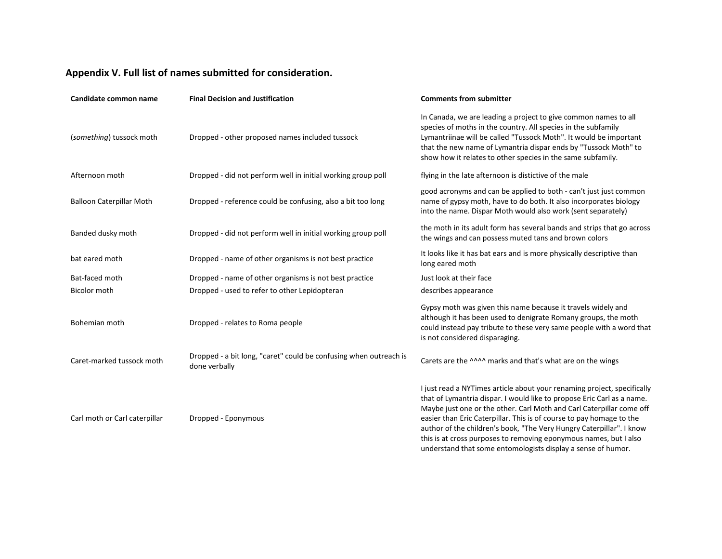# **Appendix V. Full list of names submitted for consideration.**

<span id="page-16-0"></span>

| Candidate common name           | <b>Final Decision and Justification</b>                                            | <b>Comments from submitter</b>                                                                                                                                                                                                                                                                                                                                                                                                                                                                                 |
|---------------------------------|------------------------------------------------------------------------------------|----------------------------------------------------------------------------------------------------------------------------------------------------------------------------------------------------------------------------------------------------------------------------------------------------------------------------------------------------------------------------------------------------------------------------------------------------------------------------------------------------------------|
| (something) tussock moth        | Dropped - other proposed names included tussock                                    | In Canada, we are leading a project to give common names to all<br>species of moths in the country. All species in the subfamily<br>Lymantriinae will be called "Tussock Moth". It would be important<br>that the new name of Lymantria dispar ends by "Tussock Moth" to<br>show how it relates to other species in the same subfamily.                                                                                                                                                                        |
| Afternoon moth                  | Dropped - did not perform well in initial working group poll                       | flying in the late afternoon is distictive of the male                                                                                                                                                                                                                                                                                                                                                                                                                                                         |
| <b>Balloon Caterpillar Moth</b> | Dropped - reference could be confusing, also a bit too long                        | good acronyms and can be applied to both - can't just just common<br>name of gypsy moth, have to do both. It also incorporates biology<br>into the name. Dispar Moth would also work (sent separately)                                                                                                                                                                                                                                                                                                         |
| Banded dusky moth               | Dropped - did not perform well in initial working group poll                       | the moth in its adult form has several bands and strips that go across<br>the wings and can possess muted tans and brown colors                                                                                                                                                                                                                                                                                                                                                                                |
| bat eared moth                  | Dropped - name of other organisms is not best practice                             | It looks like it has bat ears and is more physically descriptive than<br>long eared moth                                                                                                                                                                                                                                                                                                                                                                                                                       |
| Bat-faced moth                  | Dropped - name of other organisms is not best practice                             | Just look at their face                                                                                                                                                                                                                                                                                                                                                                                                                                                                                        |
| <b>Bicolor moth</b>             | Dropped - used to refer to other Lepidopteran                                      | describes appearance                                                                                                                                                                                                                                                                                                                                                                                                                                                                                           |
| Bohemian moth                   | Dropped - relates to Roma people                                                   | Gypsy moth was given this name because it travels widely and<br>although it has been used to denigrate Romany groups, the moth<br>could instead pay tribute to these very same people with a word that<br>is not considered disparaging.                                                                                                                                                                                                                                                                       |
| Caret-marked tussock moth       | Dropped - a bit long, "caret" could be confusing when outreach is<br>done verbally | Carets are the ^^^^ marks and that's what are on the wings                                                                                                                                                                                                                                                                                                                                                                                                                                                     |
| Carl moth or Carl caterpillar   | Dropped - Eponymous                                                                | I just read a NYTimes article about your renaming project, specifically<br>that of Lymantria dispar. I would like to propose Eric Carl as a name.<br>Maybe just one or the other. Carl Moth and Carl Caterpillar come off<br>easier than Eric Caterpillar. This is of course to pay homage to the<br>author of the children's book, "The Very Hungry Caterpillar". I know<br>this is at cross purposes to removing eponymous names, but I also<br>understand that some entomologists display a sense of humor. |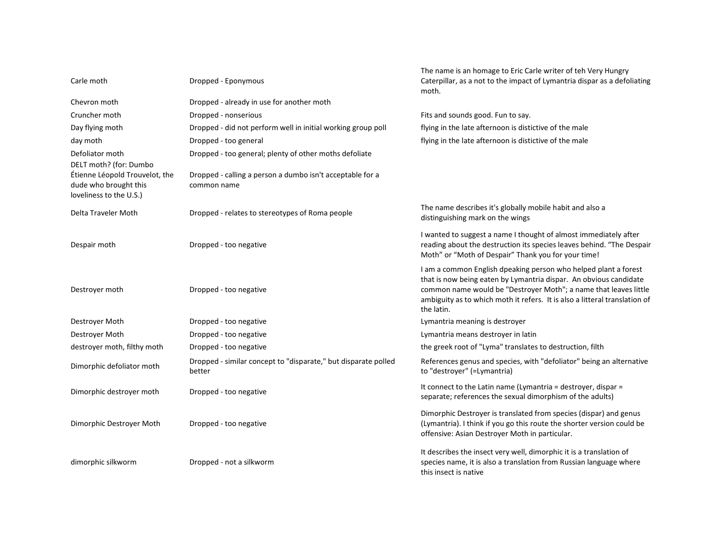| Carle moth                                                                                                   | Dropped - Eponymous                                                      | The name is an homage to Eric Carle writer of teh Very Hungry<br>Caterpillar, as a not to the impact of Lymantria dispar as a defoliating<br>moth.                                                                                                                                                   |
|--------------------------------------------------------------------------------------------------------------|--------------------------------------------------------------------------|------------------------------------------------------------------------------------------------------------------------------------------------------------------------------------------------------------------------------------------------------------------------------------------------------|
| Chevron moth                                                                                                 | Dropped - already in use for another moth                                |                                                                                                                                                                                                                                                                                                      |
| Cruncher moth                                                                                                | Dropped - nonserious                                                     | Fits and sounds good. Fun to say.                                                                                                                                                                                                                                                                    |
| Day flying moth                                                                                              | Dropped - did not perform well in initial working group poll             | flying in the late afternoon is distictive of the male                                                                                                                                                                                                                                               |
| day moth                                                                                                     | Dropped - too general                                                    | flying in the late afternoon is distictive of the male                                                                                                                                                                                                                                               |
| Defoliator moth                                                                                              | Dropped - too general; plenty of other moths defoliate                   |                                                                                                                                                                                                                                                                                                      |
| DELT moth? (for: Dumbo<br>Étienne Léopold Trouvelot, the<br>dude who brought this<br>loveliness to the U.S.) | Dropped - calling a person a dumbo isn't acceptable for a<br>common name |                                                                                                                                                                                                                                                                                                      |
| Delta Traveler Moth                                                                                          | Dropped - relates to stereotypes of Roma people                          | The name describes it's globally mobile habit and also a<br>distinguishing mark on the wings                                                                                                                                                                                                         |
| Despair moth                                                                                                 | Dropped - too negative                                                   | I wanted to suggest a name I thought of almost immediately after<br>reading about the destruction its species leaves behind. "The Despair<br>Moth" or "Moth of Despair" Thank you for your time!                                                                                                     |
| Destroyer moth                                                                                               | Dropped - too negative                                                   | I am a common English dpeaking person who helped plant a forest<br>that is now being eaten by Lymantria dispar. An obvious candidate<br>common name would be "Destroyer Moth"; a name that leaves little<br>ambiguity as to which moth it refers. It is also a litteral translation of<br>the latin. |
| Destroyer Moth                                                                                               | Dropped - too negative                                                   | Lymantria meaning is destroyer                                                                                                                                                                                                                                                                       |
| Destroyer Moth                                                                                               | Dropped - too negative                                                   | Lymantria means destroyer in latin                                                                                                                                                                                                                                                                   |
| destroyer moth, filthy moth                                                                                  | Dropped - too negative                                                   | the greek root of "Lyma" translates to destruction, filth                                                                                                                                                                                                                                            |
| Dimorphic defoliator moth                                                                                    | Dropped - similar concept to "disparate," but disparate polled<br>better | References genus and species, with "defoliator" being an alternative<br>to "destroyer" (=Lymantria)                                                                                                                                                                                                  |
| Dimorphic destroyer moth                                                                                     | Dropped - too negative                                                   | It connect to the Latin name (Lymantria = destroyer, dispar =<br>separate; references the sexual dimorphism of the adults)                                                                                                                                                                           |
| Dimorphic Destroyer Moth                                                                                     | Dropped - too negative                                                   | Dimorphic Destroyer is translated from species (dispar) and genus<br>(Lymantria). I think if you go this route the shorter version could be<br>offensive: Asian Destroyer Moth in particular.                                                                                                        |
| dimorphic silkworm                                                                                           | Dropped - not a silkworm                                                 | It describes the insect very well, dimorphic it is a translation of<br>species name, it is also a translation from Russian language where<br>this insect is native                                                                                                                                   |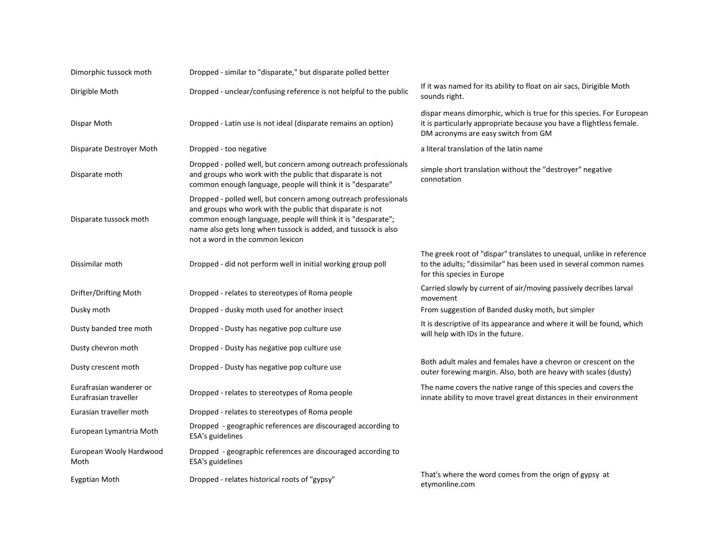| Dimorphic tussock moth                           | Dropped - similar to "disparate," but disparate polled better                                                                                                                                                                                                                                      |                                                                                                                                                                                     |
|--------------------------------------------------|----------------------------------------------------------------------------------------------------------------------------------------------------------------------------------------------------------------------------------------------------------------------------------------------------|-------------------------------------------------------------------------------------------------------------------------------------------------------------------------------------|
| Dirigible Moth                                   | Dropped - unclear/confusing reference is not helpful to the public                                                                                                                                                                                                                                 | If it was named for its ability to float on air sacs, Dirigible Moth<br>sounds right.                                                                                               |
| Dispar Moth                                      | Dropped - Latin use is not ideal (disparate remains an option)                                                                                                                                                                                                                                     | dispar means dimorphic, which is true for this species. For European<br>it is particularly appropriate because you have a flightless female.<br>DM acronyms are easy switch from GM |
| Disparate Destroyer Moth                         | Dropped - too negative                                                                                                                                                                                                                                                                             | a literal translation of the latin name                                                                                                                                             |
| Disparate moth                                   | Dropped - polled well, but concern among outreach professionals<br>and groups who work with the public that disparate is not<br>common enough language, people will think it is "desparate"                                                                                                        | simple short translation without the "destroyer" negative<br>connotation                                                                                                            |
| Disparate tussock moth                           | Dropped - polled well, but concern among outreach professionals<br>and groups who work with the public that disparate is not<br>common enough language, people will think it is "desparate";<br>name also gets long when tussock is added, and tussock is also<br>not a word in the common lexicon |                                                                                                                                                                                     |
| Dissimilar moth                                  | Dropped - did not perform well in initial working group poll                                                                                                                                                                                                                                       | The greek root of "dispar" translates to unequal, unlike in reference<br>to the adults; "dissimilar" has been used in several common names<br>for this species in Europe            |
| Drifter/Drifting Moth                            | Dropped - relates to stereotypes of Roma people                                                                                                                                                                                                                                                    | Carried slowly by current of air/moving passively decribes larval<br>movement                                                                                                       |
| Dusky moth                                       | Dropped - dusky moth used for another insect                                                                                                                                                                                                                                                       | From suggestion of Banded dusky moth, but simpler                                                                                                                                   |
| Dusty banded tree moth                           | Dropped - Dusty has negative pop culture use                                                                                                                                                                                                                                                       | It is descriptive of its appearance and where it will be found, which<br>will help with IDs in the future.                                                                          |
| Dusty chevron moth                               | Dropped - Dusty has negative pop culture use                                                                                                                                                                                                                                                       |                                                                                                                                                                                     |
| Dusty crescent moth                              | Dropped - Dusty has negative pop culture use                                                                                                                                                                                                                                                       | Both adult males and females have a chevron or crescent on the<br>outer forewing margin. Also, both are heavy with scales (dusty)                                                   |
| Eurafrasian wanderer or<br>Eurafrasian traveller | Dropped - relates to stereotypes of Roma people                                                                                                                                                                                                                                                    | The name covers the native range of this species and covers the<br>innate ability to move travel great distances in their environment                                               |
| Eurasian traveller moth                          | Dropped - relates to stereotypes of Roma people                                                                                                                                                                                                                                                    |                                                                                                                                                                                     |
| European Lymantria Moth                          | Dropped - geographic references are discouraged according to<br>ESA's guidelines                                                                                                                                                                                                                   |                                                                                                                                                                                     |
| European Wooly Hardwood<br>Moth                  | Dropped - geographic references are discouraged according to<br>ESA's guidelines                                                                                                                                                                                                                   |                                                                                                                                                                                     |
| <b>Eygptian Moth</b>                             | Dropped - relates historical roots of "gypsy"                                                                                                                                                                                                                                                      | That's where the word comes from the orign of gypsy at<br>etymonline.com                                                                                                            |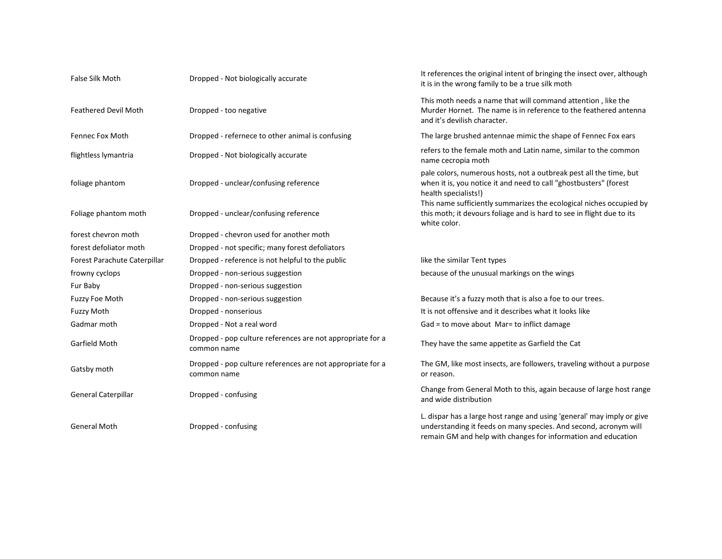| <b>False Silk Moth</b>       | Dropped - Not biologically accurate                                       | It references the original intent of bringing the insect over, although<br>it is in the wrong family to be a true silk moth                                                                                 |
|------------------------------|---------------------------------------------------------------------------|-------------------------------------------------------------------------------------------------------------------------------------------------------------------------------------------------------------|
| <b>Feathered Devil Moth</b>  | Dropped - too negative                                                    | This moth needs a name that will command attention, like the<br>Murder Hornet. The name is in reference to the feathered antenna<br>and it's devilish character.                                            |
| Fennec Fox Moth              | Dropped - refernece to other animal is confusing                          | The large brushed antennae mimic the shape of Fennec Fox ears                                                                                                                                               |
| flightless lymantria         | Dropped - Not biologically accurate                                       | refers to the female moth and Latin name, similar to the common<br>name cecropia moth                                                                                                                       |
| foliage phantom              | Dropped - unclear/confusing reference                                     | pale colors, numerous hosts, not a outbreak pest all the time, but<br>when it is, you notice it and need to call "ghostbusters" (forest<br>health specialists!)                                             |
| Foliage phantom moth         | Dropped - unclear/confusing reference                                     | This name sufficiently summarizes the ecological niches occupied by<br>this moth; it devours foliage and is hard to see in flight due to its<br>white color.                                                |
| forest chevron moth          | Dropped - chevron used for another moth                                   |                                                                                                                                                                                                             |
| forest defoliator moth       | Dropped - not specific; many forest defoliators                           |                                                                                                                                                                                                             |
| Forest Parachute Caterpillar | Dropped - reference is not helpful to the public                          | like the similar Tent types                                                                                                                                                                                 |
| frowny cyclops               | Dropped - non-serious suggestion                                          | because of the unusual markings on the wings                                                                                                                                                                |
| Fur Baby                     | Dropped - non-serious suggestion                                          |                                                                                                                                                                                                             |
| Fuzzy Foe Moth               | Dropped - non-serious suggestion                                          | Because it's a fuzzy moth that is also a foe to our trees.                                                                                                                                                  |
| <b>Fuzzy Moth</b>            | Dropped - nonserious                                                      | It is not offensive and it describes what it looks like                                                                                                                                                     |
| Gadmar moth                  | Dropped - Not a real word                                                 | Gad = to move about Mar= to inflict damage                                                                                                                                                                  |
| Garfield Moth                | Dropped - pop culture references are not appropriate for a<br>common name | They have the same appetite as Garfield the Cat                                                                                                                                                             |
| Gatsby moth                  | Dropped - pop culture references are not appropriate for a<br>common name | The GM, like most insects, are followers, traveling without a purpose<br>or reason.                                                                                                                         |
| <b>General Caterpillar</b>   | Dropped - confusing                                                       | Change from General Moth to this, again because of large host range<br>and wide distribution                                                                                                                |
| <b>General Moth</b>          | Dropped - confusing                                                       | L. dispar has a large host range and using 'general' may imply or give<br>understanding it feeds on many species. And second, acronym will<br>remain GM and help with changes for information and education |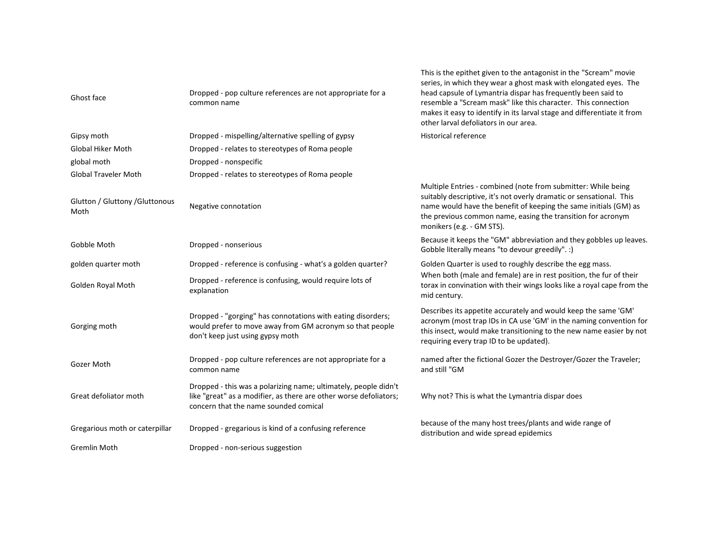| Ghost face                              | Dropped - pop culture references are not appropriate for a<br>common name                                                                                                     | This is the epithet given to the antagonist in the "Scream" movie<br>series, in which they wear a ghost mask with elongated eyes. The<br>head capsule of Lymantria dispar has frequently been said to<br>resemble a "Scream mask" like this character. This connection<br>makes it easy to identify in its larval stage and differentiate it from<br>other larval defoliators in our area. |
|-----------------------------------------|-------------------------------------------------------------------------------------------------------------------------------------------------------------------------------|--------------------------------------------------------------------------------------------------------------------------------------------------------------------------------------------------------------------------------------------------------------------------------------------------------------------------------------------------------------------------------------------|
| Gipsy moth                              | Dropped - mispelling/alternative spelling of gypsy                                                                                                                            | <b>Historical reference</b>                                                                                                                                                                                                                                                                                                                                                                |
| <b>Global Hiker Moth</b>                | Dropped - relates to stereotypes of Roma people                                                                                                                               |                                                                                                                                                                                                                                                                                                                                                                                            |
| global moth                             | Dropped - nonspecific                                                                                                                                                         |                                                                                                                                                                                                                                                                                                                                                                                            |
| <b>Global Traveler Moth</b>             | Dropped - relates to stereotypes of Roma people                                                                                                                               |                                                                                                                                                                                                                                                                                                                                                                                            |
| Glutton / Gluttony / Gluttonous<br>Moth | Negative connotation                                                                                                                                                          | Multiple Entries - combined (note from submitter: While being<br>suitably descriptive, it's not overly dramatic or sensational. This<br>name would have the benefit of keeping the same initials (GM) as<br>the previous common name, easing the transition for acronym<br>monikers (e.g. - GM STS).                                                                                       |
| Gobble Moth                             | Dropped - nonserious                                                                                                                                                          | Because it keeps the "GM" abbreviation and they gobbles up leaves.<br>Gobble literally means "to devour greedily". :)                                                                                                                                                                                                                                                                      |
| golden quarter moth                     | Dropped - reference is confusing - what's a golden quarter?                                                                                                                   | Golden Quarter is used to roughly describe the egg mass.                                                                                                                                                                                                                                                                                                                                   |
| Golden Royal Moth                       | Dropped - reference is confusing, would require lots of<br>explanation                                                                                                        | When both (male and female) are in rest position, the fur of their<br>torax in convination with their wings looks like a royal cape from the<br>mid century.                                                                                                                                                                                                                               |
| Gorging moth                            | Dropped - "gorging" has connotations with eating disorders;<br>would prefer to move away from GM acronym so that people<br>don't keep just using gypsy moth                   | Describes its appetite accurately and would keep the same 'GM'<br>acronym (most trap IDs in CA use 'GM' in the naming convention for<br>this insect, would make transitioning to the new name easier by not<br>requiring every trap ID to be updated).                                                                                                                                     |
| Gozer Moth                              | Dropped - pop culture references are not appropriate for a<br>common name                                                                                                     | named after the fictional Gozer the Destroyer/Gozer the Traveler;<br>and still "GM                                                                                                                                                                                                                                                                                                         |
| Great defoliator moth                   | Dropped - this was a polarizing name; ultimately, people didn't<br>like "great" as a modifier, as there are other worse defoliators;<br>concern that the name sounded comical | Why not? This is what the Lymantria dispar does                                                                                                                                                                                                                                                                                                                                            |
| Gregarious moth or caterpillar          | Dropped - gregarious is kind of a confusing reference                                                                                                                         | because of the many host trees/plants and wide range of<br>distribution and wide spread epidemics                                                                                                                                                                                                                                                                                          |
| Gremlin Moth                            | Dropped - non-serious suggestion                                                                                                                                              |                                                                                                                                                                                                                                                                                                                                                                                            |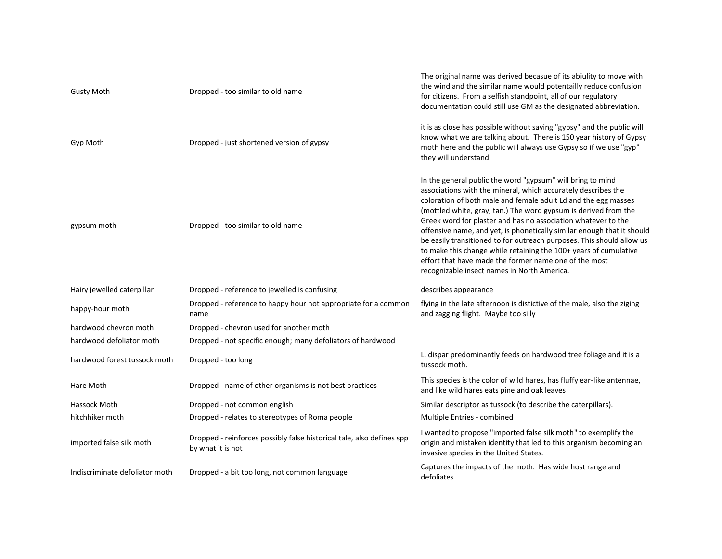| <b>Gusty Moth</b>              | Dropped - too similar to old name                                                          | The original name was derived becasue of its abiulity to move with<br>the wind and the similar name would potentailly reduce confusion<br>for citizens. From a selfish standpoint, all of our regulatory<br>documentation could still use GM as the designated abbreviation.                                                                                                                                                                                                                                                                                                                                                                                     |
|--------------------------------|--------------------------------------------------------------------------------------------|------------------------------------------------------------------------------------------------------------------------------------------------------------------------------------------------------------------------------------------------------------------------------------------------------------------------------------------------------------------------------------------------------------------------------------------------------------------------------------------------------------------------------------------------------------------------------------------------------------------------------------------------------------------|
| Gyp Moth                       | Dropped - just shortened version of gypsy                                                  | it is as close has possible without saying "gypsy" and the public will<br>know what we are talking about. There is 150 year history of Gypsy<br>moth here and the public will always use Gypsy so if we use "gyp"<br>they will understand                                                                                                                                                                                                                                                                                                                                                                                                                        |
| gypsum moth                    | Dropped - too similar to old name                                                          | In the general public the word "gypsum" will bring to mind<br>associations with the mineral, which accurately describes the<br>coloration of both male and female adult Ld and the egg masses<br>(mottled white, gray, tan.) The word gypsum is derived from the<br>Greek word for plaster and has no association whatever to the<br>offensive name, and yet, is phonetically similar enough that it should<br>be easily transitioned to for outreach purposes. This should allow us<br>to make this change while retaining the 100+ years of cumulative<br>effort that have made the former name one of the most<br>recognizable insect names in North America. |
| Hairy jewelled caterpillar     | Dropped - reference to jewelled is confusing                                               | describes appearance                                                                                                                                                                                                                                                                                                                                                                                                                                                                                                                                                                                                                                             |
| happy-hour moth                | Dropped - reference to happy hour not appropriate for a common<br>name                     | flying in the late afternoon is distictive of the male, also the ziging<br>and zagging flight. Maybe too silly                                                                                                                                                                                                                                                                                                                                                                                                                                                                                                                                                   |
| hardwood chevron moth          | Dropped - chevron used for another moth                                                    |                                                                                                                                                                                                                                                                                                                                                                                                                                                                                                                                                                                                                                                                  |
| hardwood defoliator moth       | Dropped - not specific enough; many defoliators of hardwood                                |                                                                                                                                                                                                                                                                                                                                                                                                                                                                                                                                                                                                                                                                  |
| hardwood forest tussock moth   | Dropped - too long                                                                         | L. dispar predominantly feeds on hardwood tree foliage and it is a<br>tussock moth.                                                                                                                                                                                                                                                                                                                                                                                                                                                                                                                                                                              |
| Hare Moth                      | Dropped - name of other organisms is not best practices                                    | This species is the color of wild hares, has fluffy ear-like antennae,<br>and like wild hares eats pine and oak leaves                                                                                                                                                                                                                                                                                                                                                                                                                                                                                                                                           |
| Hassock Moth                   | Dropped - not common english                                                               | Similar descriptor as tussock (to describe the caterpillars).                                                                                                                                                                                                                                                                                                                                                                                                                                                                                                                                                                                                    |
| hitchhiker moth                | Dropped - relates to stereotypes of Roma people                                            | Multiple Entries - combined                                                                                                                                                                                                                                                                                                                                                                                                                                                                                                                                                                                                                                      |
| imported false silk moth       | Dropped - reinforces possibly false historical tale, also defines spp<br>by what it is not | I wanted to propose "imported false silk moth" to exemplify the<br>origin and mistaken identity that led to this organism becoming an<br>invasive species in the United States.                                                                                                                                                                                                                                                                                                                                                                                                                                                                                  |
| Indiscriminate defoliator moth | Dropped - a bit too long, not common language                                              | Captures the impacts of the moth. Has wide host range and<br>defoliates                                                                                                                                                                                                                                                                                                                                                                                                                                                                                                                                                                                          |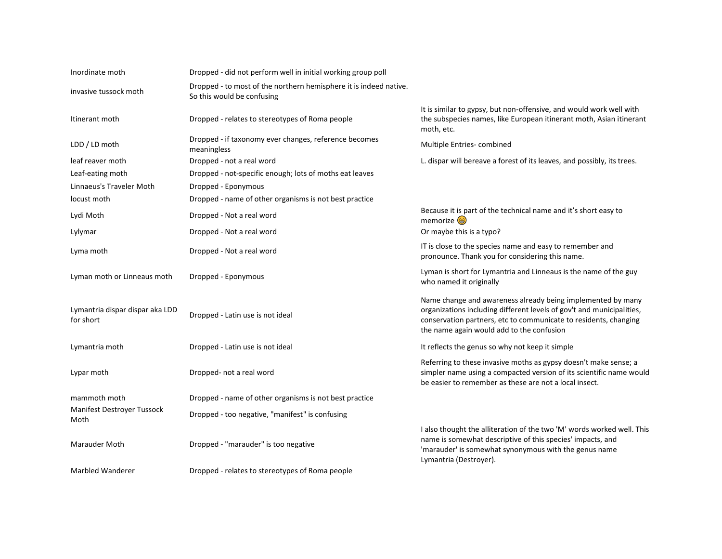| Inordinate moth                              | Dropped - did not perform well in initial working group poll                                    |                                                                                                                                                                                                                                                       |
|----------------------------------------------|-------------------------------------------------------------------------------------------------|-------------------------------------------------------------------------------------------------------------------------------------------------------------------------------------------------------------------------------------------------------|
| invasive tussock moth                        | Dropped - to most of the northern hemisphere it is indeed native.<br>So this would be confusing |                                                                                                                                                                                                                                                       |
| Itinerant moth                               | Dropped - relates to stereotypes of Roma people                                                 | It is similar to gypsy, but non-offensive, and would work well with<br>the subspecies names, like European itinerant moth, Asian itinerant<br>moth, etc.                                                                                              |
| LDD / LD moth                                | Dropped - if taxonomy ever changes, reference becomes<br>meaningless                            | Multiple Entries- combined                                                                                                                                                                                                                            |
| leaf reaver moth                             | Dropped - not a real word                                                                       | L. dispar will bereave a forest of its leaves, and possibly, its trees.                                                                                                                                                                               |
| Leaf-eating moth                             | Dropped - not-specific enough; lots of moths eat leaves                                         |                                                                                                                                                                                                                                                       |
| Linnaeus's Traveler Moth                     | Dropped - Eponymous                                                                             |                                                                                                                                                                                                                                                       |
| locust moth                                  | Dropped - name of other organisms is not best practice                                          |                                                                                                                                                                                                                                                       |
| Lydi Moth                                    | Dropped - Not a real word                                                                       | Because it is part of the technical name and it's short easy to<br>memorize @                                                                                                                                                                         |
| Lylymar                                      | Dropped - Not a real word                                                                       | Or maybe this is a typo?                                                                                                                                                                                                                              |
| Lyma moth                                    | Dropped - Not a real word                                                                       | IT is close to the species name and easy to remember and<br>pronounce. Thank you for considering this name.                                                                                                                                           |
| Lyman moth or Linneaus moth                  | Dropped - Eponymous                                                                             | Lyman is short for Lymantria and Linneaus is the name of the guy<br>who named it originally                                                                                                                                                           |
| Lymantria dispar dispar aka LDD<br>for short | Dropped - Latin use is not ideal                                                                | Name change and awareness already being implemented by many<br>organizations including different levels of gov't and municipalities,<br>conservation partners, etc to communicate to residents, changing<br>the name again would add to the confusion |
| Lymantria moth                               | Dropped - Latin use is not ideal                                                                | It reflects the genus so why not keep it simple                                                                                                                                                                                                       |
| Lypar moth                                   | Dropped- not a real word                                                                        | Referring to these invasive moths as gypsy doesn't make sense; a<br>simpler name using a compacted version of its scientific name would<br>be easier to remember as these are not a local insect.                                                     |
| mammoth moth                                 | Dropped - name of other organisms is not best practice                                          |                                                                                                                                                                                                                                                       |
| Manifest Destroyer Tussock<br>Moth           | Dropped - too negative, "manifest" is confusing                                                 |                                                                                                                                                                                                                                                       |
| <b>Marauder Moth</b>                         | Dropped - "marauder" is too negative                                                            | I also thought the alliteration of the two 'M' words worked well. This<br>name is somewhat descriptive of this species' impacts, and<br>'marauder' is somewhat synonymous with the genus name<br>Lymantria (Destroyer).                               |
| Marbled Wanderer                             | Dropped - relates to stereotypes of Roma people                                                 |                                                                                                                                                                                                                                                       |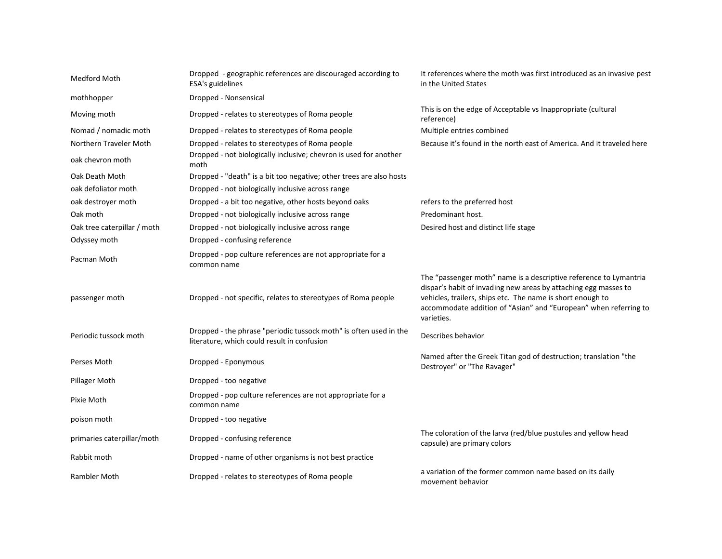| Medford Moth                | Dropped - geographic references are discouraged according to<br>ESA's guidelines                                 | It references where the moth was first introduced as an invasive pest<br>in the United States                                                                                                                                                                                        |
|-----------------------------|------------------------------------------------------------------------------------------------------------------|--------------------------------------------------------------------------------------------------------------------------------------------------------------------------------------------------------------------------------------------------------------------------------------|
| mothhopper                  | Dropped - Nonsensical                                                                                            |                                                                                                                                                                                                                                                                                      |
| Moving moth                 | Dropped - relates to stereotypes of Roma people                                                                  | This is on the edge of Acceptable vs Inappropriate (cultural<br>reference)                                                                                                                                                                                                           |
| Nomad / nomadic moth        | Dropped - relates to stereotypes of Roma people                                                                  | Multiple entries combined                                                                                                                                                                                                                                                            |
| Northern Traveler Moth      | Dropped - relates to stereotypes of Roma people                                                                  | Because it's found in the north east of America. And it traveled here                                                                                                                                                                                                                |
| oak chevron moth            | Dropped - not biologically inclusive; chevron is used for another<br>moth                                        |                                                                                                                                                                                                                                                                                      |
| Oak Death Moth              | Dropped - "death" is a bit too negative; other trees are also hosts                                              |                                                                                                                                                                                                                                                                                      |
| oak defoliator moth         | Dropped - not biologically inclusive across range                                                                |                                                                                                                                                                                                                                                                                      |
| oak destroyer moth          | Dropped - a bit too negative, other hosts beyond oaks                                                            | refers to the preferred host                                                                                                                                                                                                                                                         |
| Oak moth                    | Dropped - not biologically inclusive across range                                                                | Predominant host.                                                                                                                                                                                                                                                                    |
| Oak tree caterpillar / moth | Dropped - not biologically inclusive across range                                                                | Desired host and distinct life stage                                                                                                                                                                                                                                                 |
| Odyssey moth                | Dropped - confusing reference                                                                                    |                                                                                                                                                                                                                                                                                      |
| Pacman Moth                 | Dropped - pop culture references are not appropriate for a<br>common name                                        |                                                                                                                                                                                                                                                                                      |
| passenger moth              | Dropped - not specific, relates to stereotypes of Roma people                                                    | The "passenger moth" name is a descriptive reference to Lymantria<br>dispar's habit of invading new areas by attaching egg masses to<br>vehicles, trailers, ships etc. The name is short enough to<br>accommodate addition of "Asian" and "European" when referring to<br>varieties. |
| Periodic tussock moth       | Dropped - the phrase "periodic tussock moth" is often used in the<br>literature, which could result in confusion | Describes behavior                                                                                                                                                                                                                                                                   |
| Perses Moth                 | Dropped - Eponymous                                                                                              | Named after the Greek Titan god of destruction; translation "the<br>Destroyer" or "The Ravager"                                                                                                                                                                                      |
| Pillager Moth               | Dropped - too negative                                                                                           |                                                                                                                                                                                                                                                                                      |
| Pixie Moth                  | Dropped - pop culture references are not appropriate for a<br>common name                                        |                                                                                                                                                                                                                                                                                      |
| poison moth                 | Dropped - too negative                                                                                           |                                                                                                                                                                                                                                                                                      |
| primaries caterpillar/moth  | Dropped - confusing reference                                                                                    | The coloration of the larva (red/blue pustules and yellow head<br>capsule) are primary colors                                                                                                                                                                                        |
| Rabbit moth                 | Dropped - name of other organisms is not best practice                                                           |                                                                                                                                                                                                                                                                                      |
| <b>Rambler Moth</b>         | Dropped - relates to stereotypes of Roma people                                                                  | a variation of the former common name based on its daily<br>movement behavior                                                                                                                                                                                                        |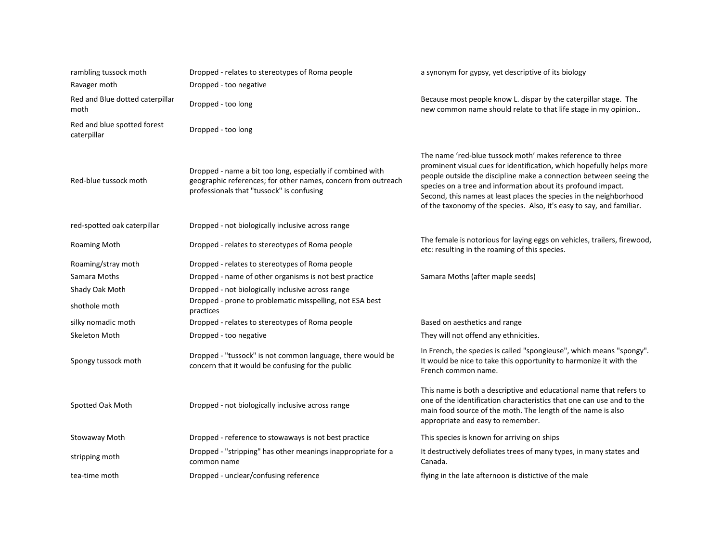| rambling tussock moth                      | Dropped - relates to stereotypes of Roma people                                                                                                                          | a synonym for gypsy, yet descriptive of its biology                                                                                                                                                                                                                                                                                                                                                                    |
|--------------------------------------------|--------------------------------------------------------------------------------------------------------------------------------------------------------------------------|------------------------------------------------------------------------------------------------------------------------------------------------------------------------------------------------------------------------------------------------------------------------------------------------------------------------------------------------------------------------------------------------------------------------|
| Ravager moth                               | Dropped - too negative                                                                                                                                                   |                                                                                                                                                                                                                                                                                                                                                                                                                        |
| Red and Blue dotted caterpillar<br>moth    | Dropped - too long                                                                                                                                                       | Because most people know L. dispar by the caterpillar stage. The<br>new common name should relate to that life stage in my opinion                                                                                                                                                                                                                                                                                     |
| Red and blue spotted forest<br>caterpillar | Dropped - too long                                                                                                                                                       |                                                                                                                                                                                                                                                                                                                                                                                                                        |
| Red-blue tussock moth                      | Dropped - name a bit too long, especially if combined with<br>geographic references; for other names, concern from outreach<br>professionals that "tussock" is confusing | The name 'red-blue tussock moth' makes reference to three<br>prominent visual cues for identification, which hopefully helps more<br>people outside the discipline make a connection between seeing the<br>species on a tree and information about its profound impact.<br>Second, this names at least places the species in the neighborhood<br>of the taxonomy of the species. Also, it's easy to say, and familiar. |
| red-spotted oak caterpillar                | Dropped - not biologically inclusive across range                                                                                                                        |                                                                                                                                                                                                                                                                                                                                                                                                                        |
| Roaming Moth                               | Dropped - relates to stereotypes of Roma people                                                                                                                          | The female is notorious for laying eggs on vehicles, trailers, firewood,<br>etc: resulting in the roaming of this species.                                                                                                                                                                                                                                                                                             |
| Roaming/stray moth                         | Dropped - relates to stereotypes of Roma people                                                                                                                          |                                                                                                                                                                                                                                                                                                                                                                                                                        |
| Samara Moths                               | Dropped - name of other organisms is not best practice                                                                                                                   | Samara Moths (after maple seeds)                                                                                                                                                                                                                                                                                                                                                                                       |
| Shady Oak Moth                             | Dropped - not biologically inclusive across range                                                                                                                        |                                                                                                                                                                                                                                                                                                                                                                                                                        |
| shothole moth                              | Dropped - prone to problematic misspelling, not ESA best<br>practices                                                                                                    |                                                                                                                                                                                                                                                                                                                                                                                                                        |
| silky nomadic moth                         | Dropped - relates to stereotypes of Roma people                                                                                                                          | Based on aesthetics and range                                                                                                                                                                                                                                                                                                                                                                                          |
| Skeleton Moth                              | Dropped - too negative                                                                                                                                                   | They will not offend any ethnicities.                                                                                                                                                                                                                                                                                                                                                                                  |
| Spongy tussock moth                        | Dropped - "tussock" is not common language, there would be<br>concern that it would be confusing for the public                                                          | In French, the species is called "spongieuse", which means "spongy".<br>It would be nice to take this opportunity to harmonize it with the<br>French common name.                                                                                                                                                                                                                                                      |
| Spotted Oak Moth                           | Dropped - not biologically inclusive across range                                                                                                                        | This name is both a descriptive and educational name that refers to<br>one of the identification characteristics that one can use and to the<br>main food source of the moth. The length of the name is also<br>appropriate and easy to remember.                                                                                                                                                                      |
| Stowaway Moth                              | Dropped - reference to stowaways is not best practice                                                                                                                    | This species is known for arriving on ships                                                                                                                                                                                                                                                                                                                                                                            |
| stripping moth                             | Dropped - "stripping" has other meanings inappropriate for a<br>common name                                                                                              | It destructively defoliates trees of many types, in many states and<br>Canada.                                                                                                                                                                                                                                                                                                                                         |
| tea-time moth                              | Dropped - unclear/confusing reference                                                                                                                                    | flying in the late afternoon is distictive of the male                                                                                                                                                                                                                                                                                                                                                                 |
|                                            |                                                                                                                                                                          |                                                                                                                                                                                                                                                                                                                                                                                                                        |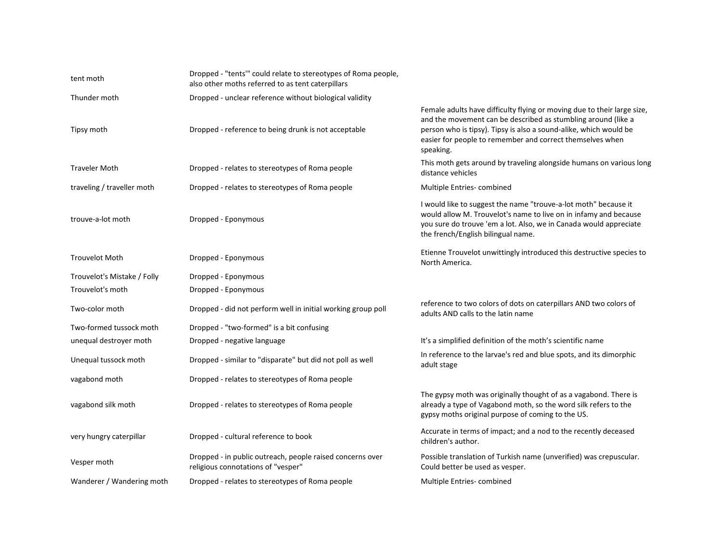| tent moth                   | Dropped - "tents" could relate to stereotypes of Roma people,<br>also other moths referred to as tent caterpillars |                                                                                                                                                                                                                                                                                         |
|-----------------------------|--------------------------------------------------------------------------------------------------------------------|-----------------------------------------------------------------------------------------------------------------------------------------------------------------------------------------------------------------------------------------------------------------------------------------|
| Thunder moth                | Dropped - unclear reference without biological validity                                                            |                                                                                                                                                                                                                                                                                         |
| Tipsy moth                  | Dropped - reference to being drunk is not acceptable                                                               | Female adults have difficulty flying or moving due to their large size,<br>and the movement can be described as stumbling around (like a<br>person who is tipsy). Tipsy is also a sound-alike, which would be<br>easier for people to remember and correct themselves when<br>speaking. |
| <b>Traveler Moth</b>        | Dropped - relates to stereotypes of Roma people                                                                    | This moth gets around by traveling alongside humans on various long<br>distance vehicles                                                                                                                                                                                                |
| traveling / traveller moth  | Dropped - relates to stereotypes of Roma people                                                                    | Multiple Entries-combined                                                                                                                                                                                                                                                               |
| trouve-a-lot moth           | Dropped - Eponymous                                                                                                | I would like to suggest the name "trouve-a-lot moth" because it<br>would allow M. Trouvelot's name to live on in infamy and because<br>you sure do trouve 'em a lot. Also, we in Canada would appreciate<br>the french/English bilingual name.                                          |
| <b>Trouvelot Moth</b>       | Dropped - Eponymous                                                                                                | Etienne Trouvelot unwittingly introduced this destructive species to<br>North America.                                                                                                                                                                                                  |
| Trouvelot's Mistake / Folly | Dropped - Eponymous                                                                                                |                                                                                                                                                                                                                                                                                         |
| Trouvelot's moth            | Dropped - Eponymous                                                                                                |                                                                                                                                                                                                                                                                                         |
| Two-color moth              | Dropped - did not perform well in initial working group poll                                                       | reference to two colors of dots on caterpillars AND two colors of<br>adults AND calls to the latin name                                                                                                                                                                                 |
| Two-formed tussock moth     | Dropped - "two-formed" is a bit confusing                                                                          |                                                                                                                                                                                                                                                                                         |
| unequal destroyer moth      | Dropped - negative language                                                                                        | It's a simplified definition of the moth's scientific name                                                                                                                                                                                                                              |
| Unequal tussock moth        | Dropped - similar to "disparate" but did not poll as well                                                          | In reference to the larvae's red and blue spots, and its dimorphic<br>adult stage                                                                                                                                                                                                       |
| vagabond moth               | Dropped - relates to stereotypes of Roma people                                                                    |                                                                                                                                                                                                                                                                                         |
| vagabond silk moth          | Dropped - relates to stereotypes of Roma people                                                                    | The gypsy moth was originally thought of as a vagabond. There is<br>already a type of Vagabond moth, so the word silk refers to the<br>gypsy moths original purpose of coming to the US.                                                                                                |
| very hungry caterpillar     | Dropped - cultural reference to book                                                                               | Accurate in terms of impact; and a nod to the recently deceased<br>children's author.                                                                                                                                                                                                   |
| Vesper moth                 | Dropped - in public outreach, people raised concerns over<br>religious connotations of "vesper"                    | Possible translation of Turkish name (unverified) was crepuscular.<br>Could better be used as vesper.                                                                                                                                                                                   |
| Wanderer / Wandering moth   | Dropped - relates to stereotypes of Roma people                                                                    | Multiple Entries-combined                                                                                                                                                                                                                                                               |
|                             |                                                                                                                    |                                                                                                                                                                                                                                                                                         |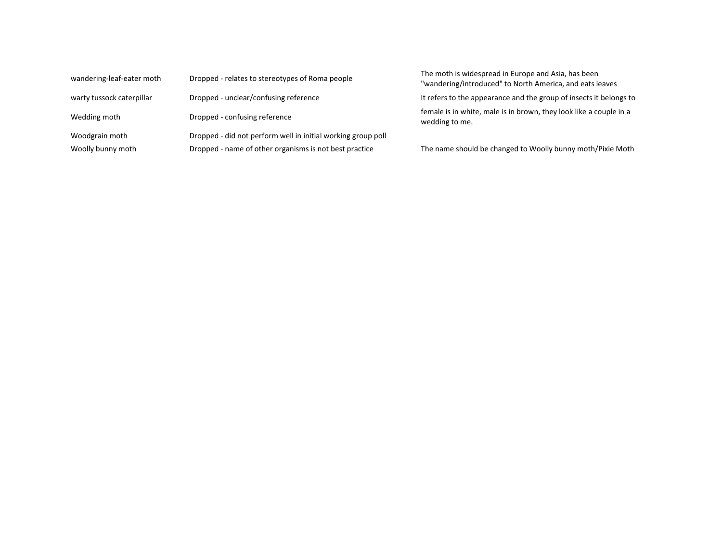| wandering-leaf-eater moth | Dropped - relates to stereotypes of Roma people              | The moth is widespread in Europe and Asia, has been<br>"wandering/introduced" to North America, and eats leaves |
|---------------------------|--------------------------------------------------------------|-----------------------------------------------------------------------------------------------------------------|
| warty tussock caterpillar | Dropped - unclear/confusing reference                        | It refers to the appearance and the group of insects it belongs to                                              |
| Wedding moth              | Dropped - confusing reference                                | female is in white, male is in brown, they look like a couple in a<br>wedding to me.                            |
| Woodgrain moth            | Dropped - did not perform well in initial working group poll |                                                                                                                 |
| Woolly bunny moth         | Dropped - name of other organisms is not best practice       | The name should be changed to Woolly bunny moth/Pixie Moth                                                      |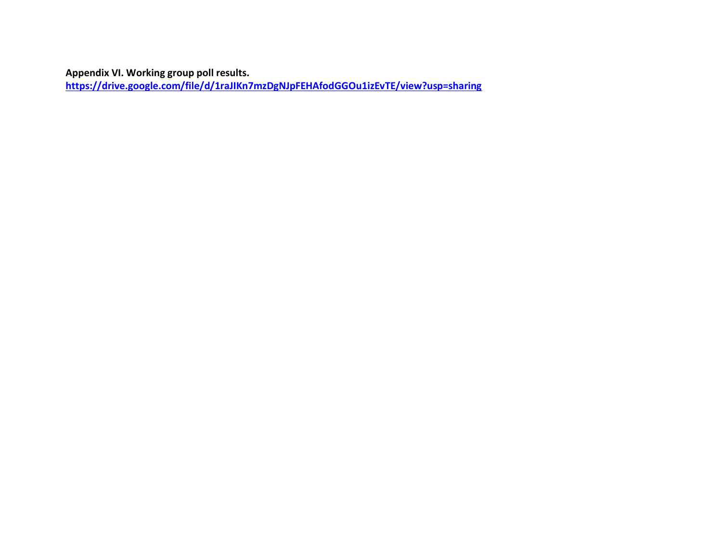**Appendix VI. Working group poll results.** 

<span id="page-27-0"></span>**<https://drive.google.com/file/d/1raJIKn7mzDgNJpFEHAfodGGOu1izEvTE/view?usp=sharing>**